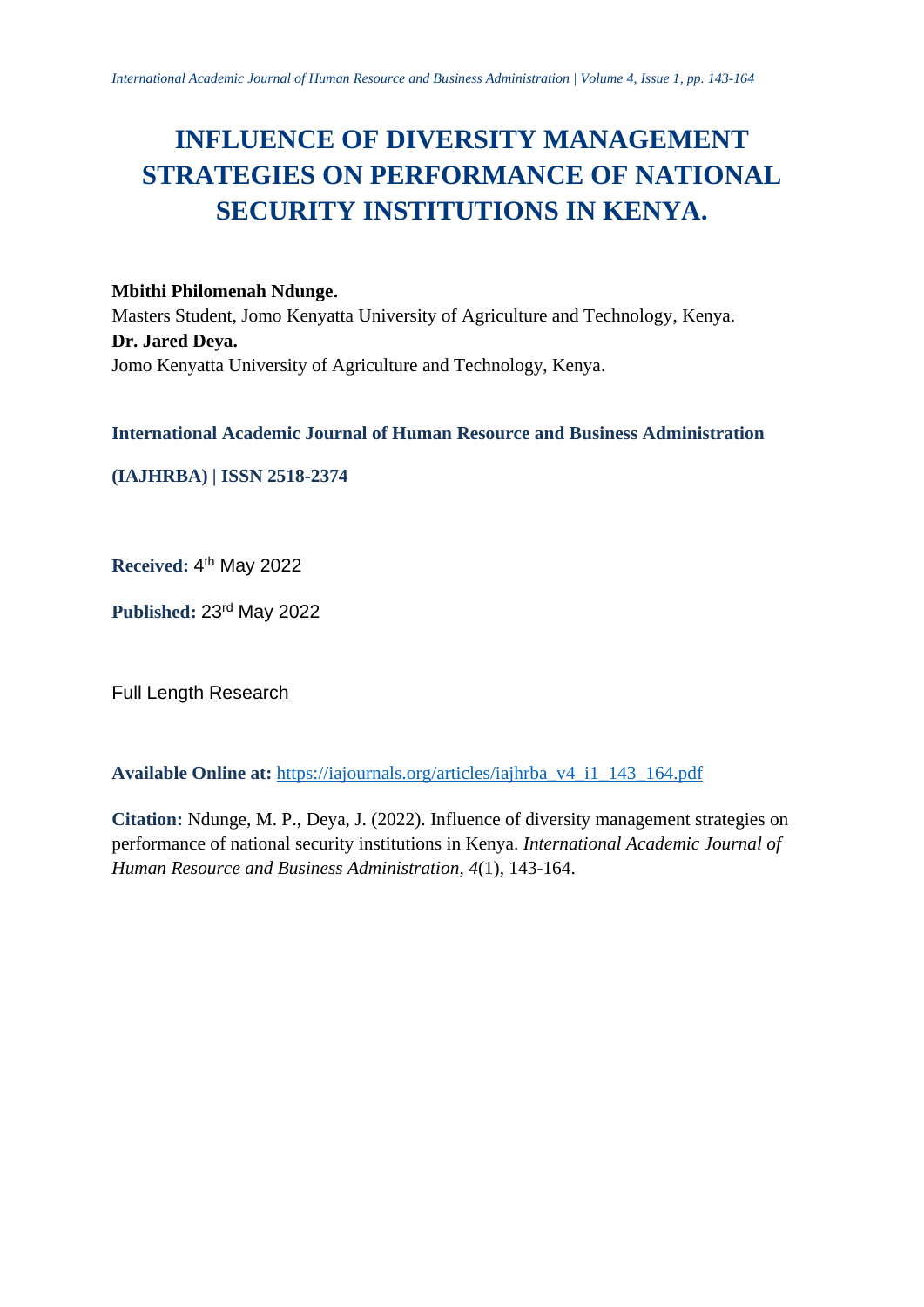# **INFLUENCE OF DIVERSITY MANAGEMENT STRATEGIES ON PERFORMANCE OF NATIONAL SECURITY INSTITUTIONS IN KENYA.**

# **Mbithi Philomenah Ndunge.**

Masters Student, Jomo Kenyatta University of Agriculture and Technology, Kenya. **Dr. Jared Deya.** Jomo Kenyatta University of Agriculture and Technology, Kenya.

# **International Academic Journal of Human Resource and Business Administration**

**(IAJHRBA) | ISSN 2518-2374**

Received: 4<sup>th</sup> May 2022

**Published:** 23rd May 2022

Full Length Research

**Available Online at:** [https://iajournals.org/articles/iajhrba\\_v4\\_i1\\_143\\_164.pdf](https://iajournals.org/articles/iajhrba_v4_i1_143_164.pdf)

**Citation:** Ndunge, M. P., Deya, J. (2022). Influence of diversity management strategies on performance of national security institutions in Kenya. *International Academic Journal of Human Resource and Business Administration, 4*(1), 143-164.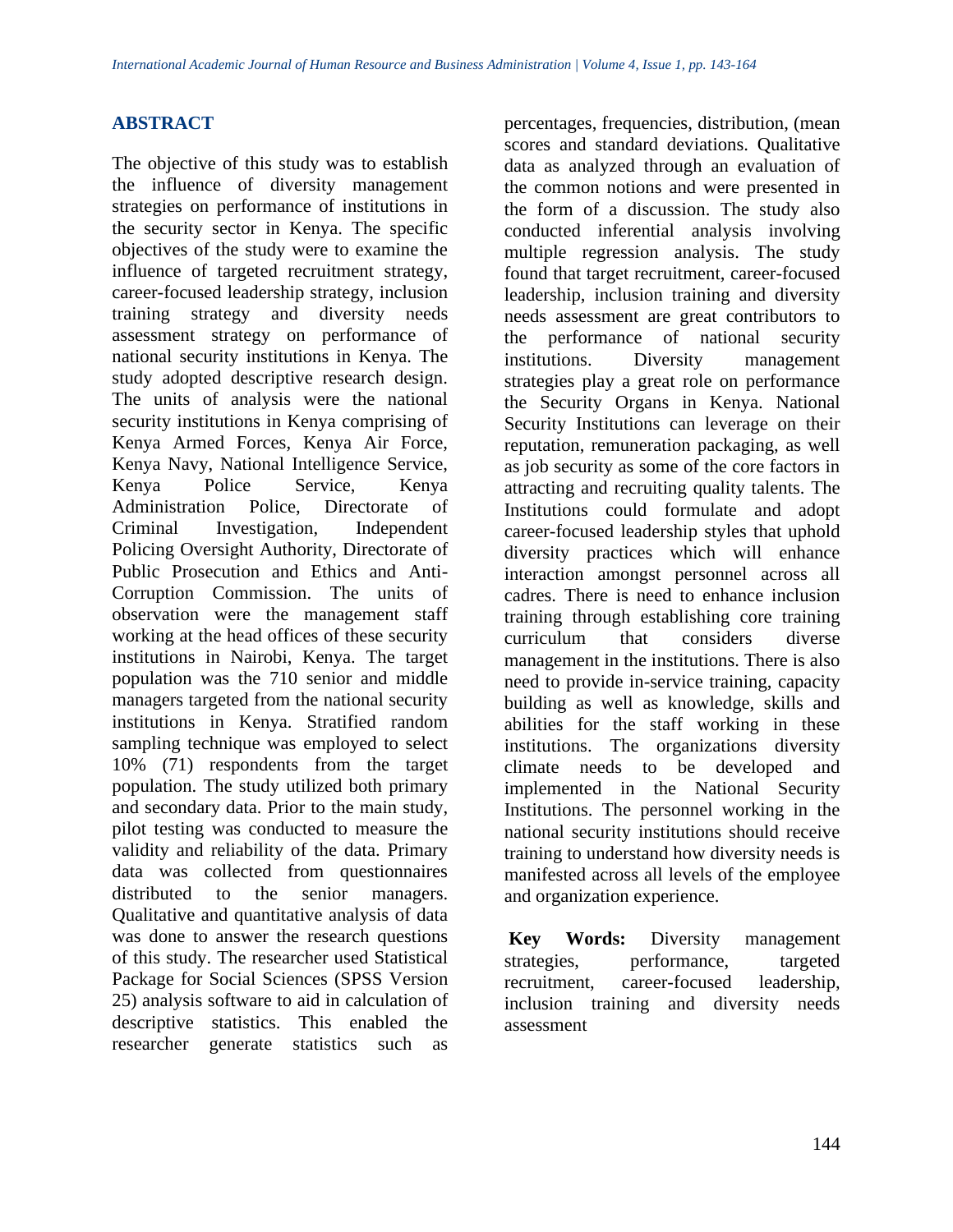# **ABSTRACT**

The objective of this study was to establish the influence of diversity management strategies on performance of institutions in the security sector in Kenya. The specific objectives of the study were to examine the influence of targeted recruitment strategy, career-focused leadership strategy, inclusion training strategy and diversity needs assessment strategy on performance of national security institutions in Kenya. The study adopted descriptive research design. The units of analysis were the national security institutions in Kenya comprising of Kenya Armed Forces, Kenya Air Force, Kenya Navy, National Intelligence Service, Kenya Police Service, Kenya Administration Police, Directorate of Criminal Investigation, Independent Policing Oversight Authority, Directorate of Public Prosecution and Ethics and Anti-Corruption Commission. The units of observation were the management staff working at the head offices of these security institutions in Nairobi, Kenya. The target population was the 710 senior and middle managers targeted from the national security institutions in Kenya. Stratified random sampling technique was employed to select 10% (71) respondents from the target population. The study utilized both primary and secondary data. Prior to the main study, pilot testing was conducted to measure the validity and reliability of the data. Primary data was collected from questionnaires distributed to the senior managers. Qualitative and quantitative analysis of data was done to answer the research questions of this study. The researcher used Statistical Package for Social Sciences (SPSS Version 25) analysis software to aid in calculation of descriptive statistics. This enabled the researcher generate statistics such as

percentages, frequencies, distribution, (mean scores and standard deviations. Qualitative data as analyzed through an evaluation of the common notions and were presented in the form of a discussion. The study also conducted inferential analysis involving multiple regression analysis. The study found that target recruitment, career-focused leadership, inclusion training and diversity needs assessment are great contributors to the performance of national security institutions. Diversity management strategies play a great role on performance the Security Organs in Kenya. National Security Institutions can leverage on their reputation, remuneration packaging, as well as job security as some of the core factors in attracting and recruiting quality talents. The Institutions could formulate and adopt career-focused leadership styles that uphold diversity practices which will enhance interaction amongst personnel across all cadres. There is need to enhance inclusion training through establishing core training curriculum that considers diverse management in the institutions. There is also need to provide in-service training, capacity building as well as knowledge, skills and abilities for the staff working in these institutions. The organizations diversity climate needs to be developed and implemented in the National Security Institutions. The personnel working in the national security institutions should receive training to understand how diversity needs is manifested across all levels of the employee and organization experience.

**Key Words:** Diversity management strategies, performance, targeted recruitment, career-focused leadership, inclusion training and diversity needs assessment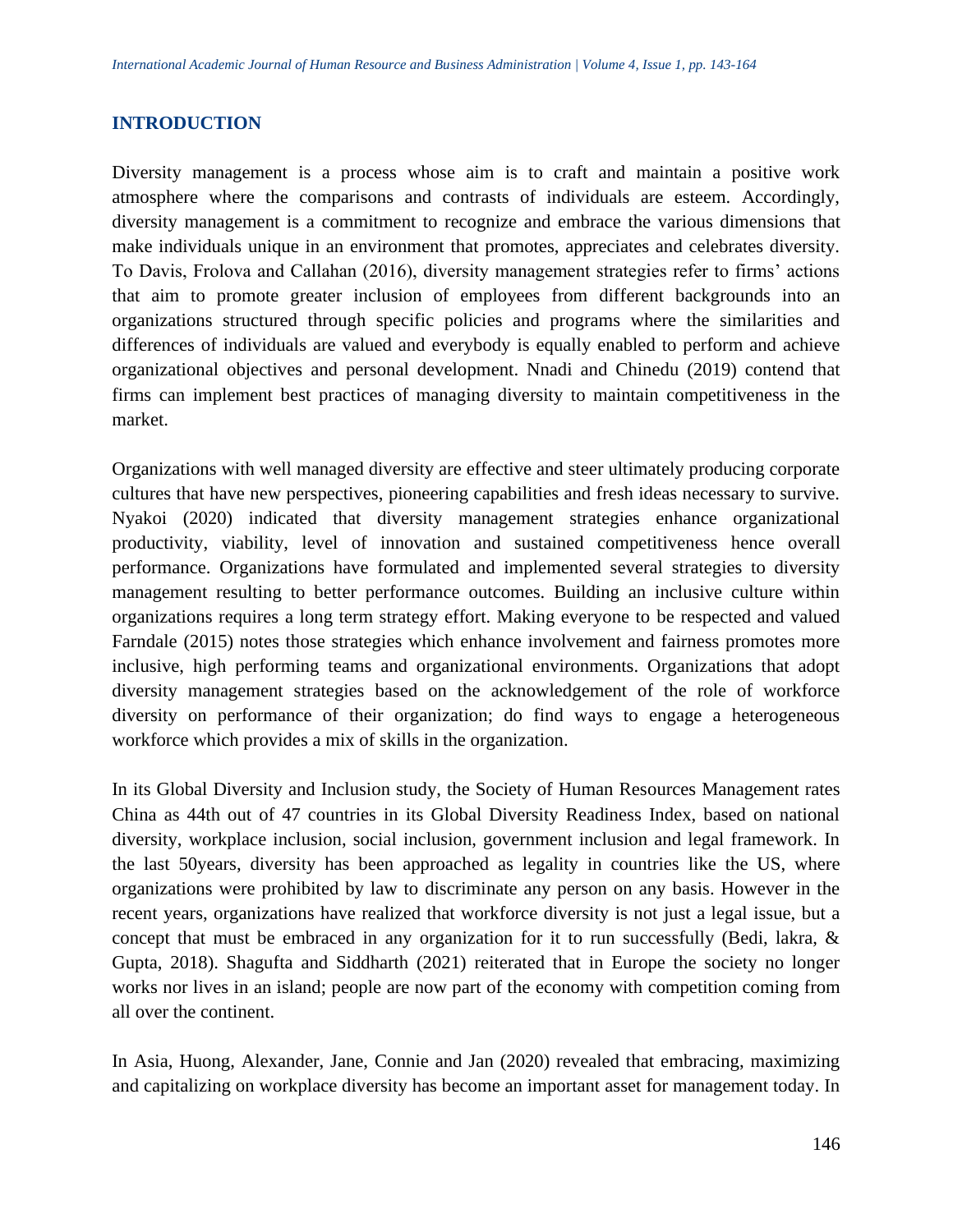## **INTRODUCTION**

Diversity management is a process whose aim is to craft and maintain a positive work atmosphere where the comparisons and contrasts of individuals are esteem. Accordingly, diversity management is a commitment to recognize and embrace the various dimensions that make individuals unique in an environment that promotes, appreciates and celebrates diversity. To Davis, Frolova and Callahan (2016), diversity management strategies refer to firms' actions that aim to promote greater inclusion of employees from different backgrounds into an organizations structured through specific policies and programs where the similarities and differences of individuals are valued and everybody is equally enabled to perform and achieve organizational objectives and personal development. Nnadi and Chinedu (2019) contend that firms can implement best practices of managing diversity to maintain competitiveness in the market.

Organizations with well managed diversity are effective and steer ultimately producing corporate cultures that have new perspectives, pioneering capabilities and fresh ideas necessary to survive. Nyakoi (2020) indicated that diversity management strategies enhance organizational productivity, viability, level of innovation and sustained competitiveness hence overall performance. Organizations have formulated and implemented several strategies to diversity management resulting to better performance outcomes. Building an inclusive culture within organizations requires a long term strategy effort. Making everyone to be respected and valued Farndale (2015) notes those strategies which enhance involvement and fairness promotes more inclusive, high performing teams and organizational environments. Organizations that adopt diversity management strategies based on the acknowledgement of the role of workforce diversity on performance of their organization; do find ways to engage a heterogeneous workforce which provides a mix of skills in the organization.

In its Global Diversity and Inclusion study, the Society of Human Resources Management rates China as 44th out of 47 countries in its Global Diversity Readiness Index, based on national diversity, workplace inclusion, social inclusion, government inclusion and legal framework. In the last 50years, diversity has been approached as legality in countries like the US, where organizations were prohibited by law to discriminate any person on any basis. However in the recent years, organizations have realized that workforce diversity is not just a legal issue, but a concept that must be embraced in any organization for it to run successfully (Bedi, lakra, & Gupta, 2018). Shagufta and Siddharth (2021) reiterated that in Europe the society no longer works nor lives in an island; people are now part of the economy with competition coming from all over the continent.

In Asia, Huong, Alexander, Jane, Connie and Jan (2020) revealed that embracing, maximizing and capitalizing on workplace diversity has become an important asset for management today. In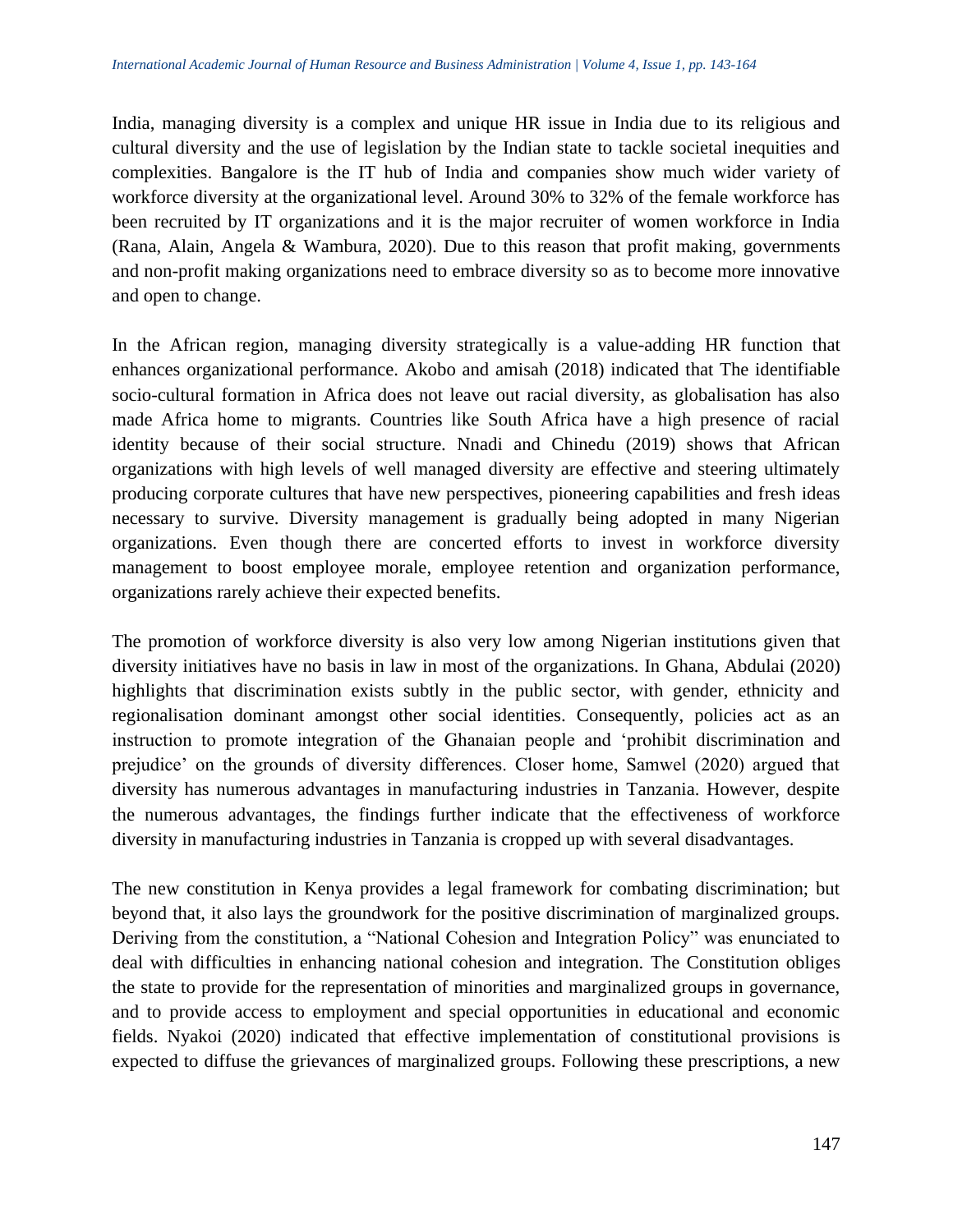India, managing diversity is a complex and unique HR issue in India due to its religious and cultural diversity and the use of legislation by the Indian state to tackle societal inequities and complexities. Bangalore is the IT hub of India and companies show much wider variety of workforce diversity at the organizational level. Around 30% to 32% of the female workforce has been recruited by IT organizations and it is the major recruiter of women workforce in India (Rana, Alain, Angela & Wambura, 2020). Due to this reason that profit making, governments and non-profit making organizations need to embrace diversity so as to become more innovative and open to change.

In the African region, managing diversity strategically is a value-adding HR function that enhances organizational performance. Akobo and amisah (2018) indicated that The identifiable socio-cultural formation in Africa does not leave out racial diversity, as globalisation has also made Africa home to migrants. Countries like South Africa have a high presence of racial identity because of their social structure. Nnadi and Chinedu (2019) shows that African organizations with high levels of well managed diversity are effective and steering ultimately producing corporate cultures that have new perspectives, pioneering capabilities and fresh ideas necessary to survive. Diversity management is gradually being adopted in many Nigerian organizations. Even though there are concerted efforts to invest in workforce diversity management to boost employee morale, employee retention and organization performance, organizations rarely achieve their expected benefits.

The promotion of workforce diversity is also very low among Nigerian institutions given that diversity initiatives have no basis in law in most of the organizations. In Ghana, Abdulai (2020) highlights that discrimination exists subtly in the public sector, with gender, ethnicity and regionalisation dominant amongst other social identities. Consequently, policies act as an instruction to promote integration of the Ghanaian people and 'prohibit discrimination and prejudice' on the grounds of diversity differences. Closer home, Samwel (2020) argued that diversity has numerous advantages in manufacturing industries in Tanzania. However, despite the numerous advantages, the findings further indicate that the effectiveness of workforce diversity in manufacturing industries in Tanzania is cropped up with several disadvantages.

The new constitution in Kenya provides a legal framework for combating discrimination; but beyond that, it also lays the groundwork for the positive discrimination of marginalized groups. Deriving from the constitution, a "National Cohesion and Integration Policy" was enunciated to deal with difficulties in enhancing national cohesion and integration. The Constitution obliges the state to provide for the representation of minorities and marginalized groups in governance, and to provide access to employment and special opportunities in educational and economic fields. Nyakoi (2020) indicated that effective implementation of constitutional provisions is expected to diffuse the grievances of marginalized groups. Following these prescriptions, a new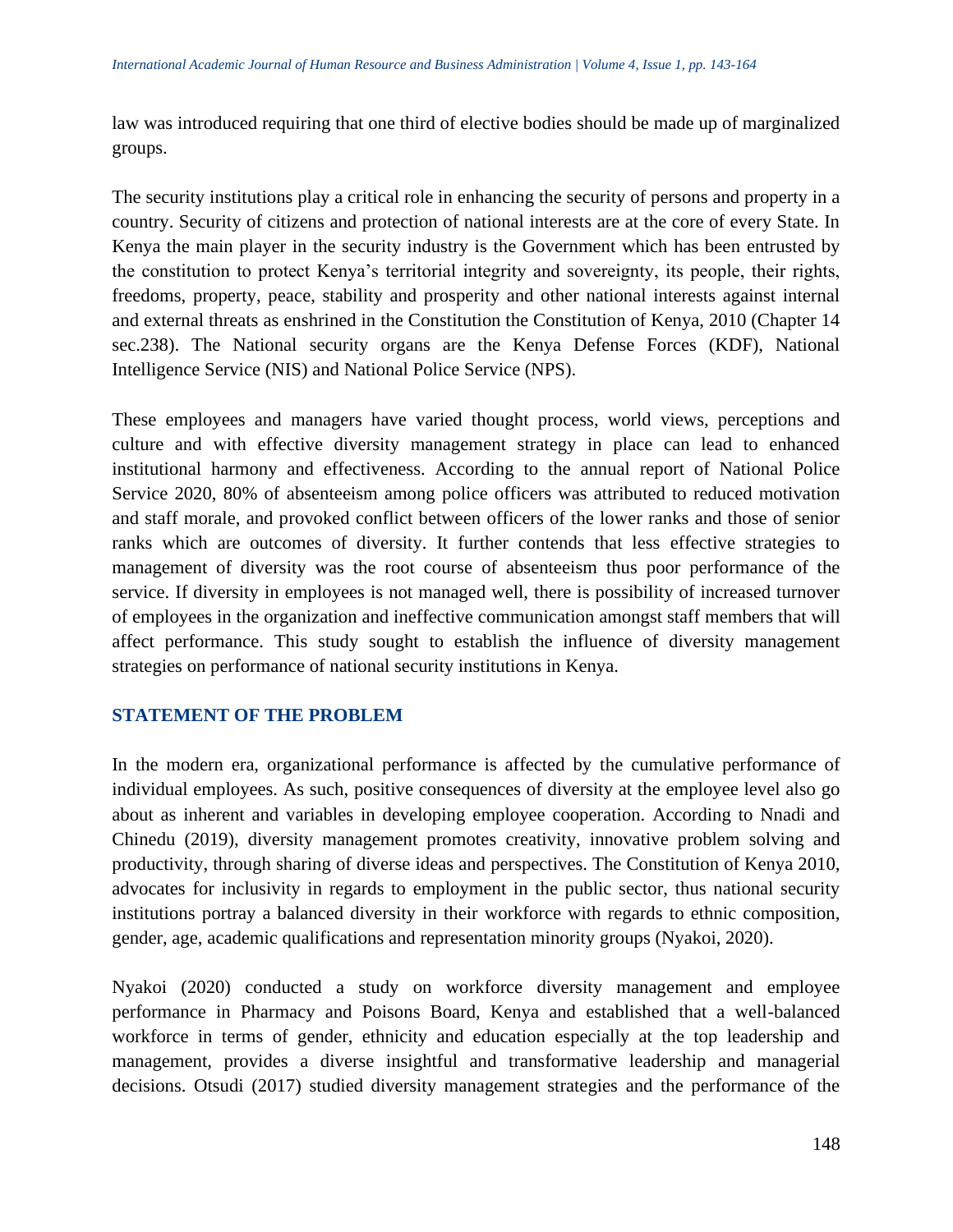law was introduced requiring that one third of elective bodies should be made up of marginalized groups.

The security institutions play a critical role in enhancing the security of persons and property in a country. Security of citizens and protection of national interests are at the core of every State. In Kenya the main player in the security industry is the Government which has been entrusted by the constitution to protect Kenya's territorial integrity and sovereignty, its people, their rights, freedoms, property, peace, stability and prosperity and other national interests against internal and external threats as enshrined in the Constitution the Constitution of Kenya, 2010 (Chapter 14 sec.238). The National security organs are the Kenya Defense Forces (KDF), National Intelligence Service (NIS) and National Police Service (NPS).

These employees and managers have varied thought process, world views, perceptions and culture and with effective diversity management strategy in place can lead to enhanced institutional harmony and effectiveness. According to the annual report of National Police Service 2020, 80% of absenteeism among police officers was attributed to reduced motivation and staff morale, and provoked conflict between officers of the lower ranks and those of senior ranks which are outcomes of diversity. It further contends that less effective strategies to management of diversity was the root course of absenteeism thus poor performance of the service. If diversity in employees is not managed well, there is possibility of increased turnover of employees in the organization and ineffective communication amongst staff members that will affect performance. This study sought to establish the influence of diversity management strategies on performance of national security institutions in Kenya.

# **STATEMENT OF THE PROBLEM**

In the modern era, organizational performance is affected by the cumulative performance of individual employees. As such, positive consequences of diversity at the employee level also go about as inherent and variables in developing employee cooperation. According to Nnadi and Chinedu (2019), diversity management promotes creativity, innovative problem solving and productivity, through sharing of diverse ideas and perspectives. The Constitution of Kenya 2010, advocates for inclusivity in regards to employment in the public sector, thus national security institutions portray a balanced diversity in their workforce with regards to ethnic composition, gender, age, academic qualifications and representation minority groups (Nyakoi, 2020).

Nyakoi (2020) conducted a study on workforce diversity management and employee performance in Pharmacy and Poisons Board, Kenya and established that a well-balanced workforce in terms of gender, ethnicity and education especially at the top leadership and management, provides a diverse insightful and transformative leadership and managerial decisions. Otsudi (2017) studied diversity management strategies and the performance of the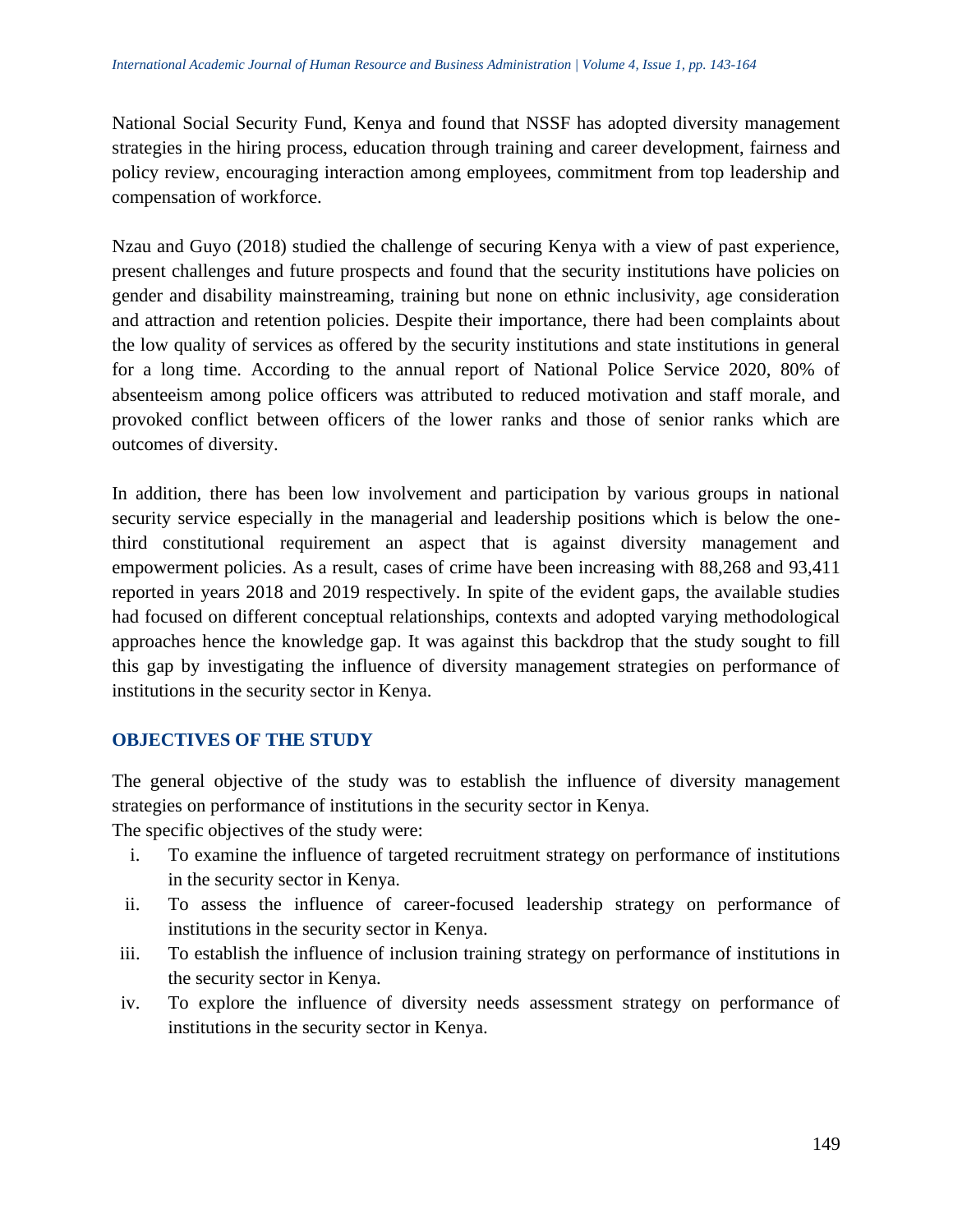National Social Security Fund, Kenya and found that NSSF has adopted diversity management strategies in the hiring process, education through training and career development, fairness and policy review, encouraging interaction among employees, commitment from top leadership and compensation of workforce.

Nzau and Guyo (2018) studied the challenge of securing Kenya with a view of past experience, present challenges and future prospects and found that the security institutions have policies on gender and disability mainstreaming, training but none on ethnic inclusivity, age consideration and attraction and retention policies. Despite their importance, there had been complaints about the low quality of services as offered by the security institutions and state institutions in general for a long time. According to the annual report of National Police Service 2020, 80% of absenteeism among police officers was attributed to reduced motivation and staff morale, and provoked conflict between officers of the lower ranks and those of senior ranks which are outcomes of diversity.

In addition, there has been low involvement and participation by various groups in national security service especially in the managerial and leadership positions which is below the onethird constitutional requirement an aspect that is against diversity management and empowerment policies. As a result, cases of crime have been increasing with 88,268 and 93,411 reported in years 2018 and 2019 respectively. In spite of the evident gaps, the available studies had focused on different conceptual relationships, contexts and adopted varying methodological approaches hence the knowledge gap. It was against this backdrop that the study sought to fill this gap by investigating the influence of diversity management strategies on performance of institutions in the security sector in Kenya.

# **OBJECTIVES OF THE STUDY**

The general objective of the study was to establish the influence of diversity management strategies on performance of institutions in the security sector in Kenya.

The specific objectives of the study were:

- i. To examine the influence of targeted recruitment strategy on performance of institutions in the security sector in Kenya.
- ii. To assess the influence of career-focused leadership strategy on performance of institutions in the security sector in Kenya.
- iii. To establish the influence of inclusion training strategy on performance of institutions in the security sector in Kenya.
- iv. To explore the influence of diversity needs assessment strategy on performance of institutions in the security sector in Kenya.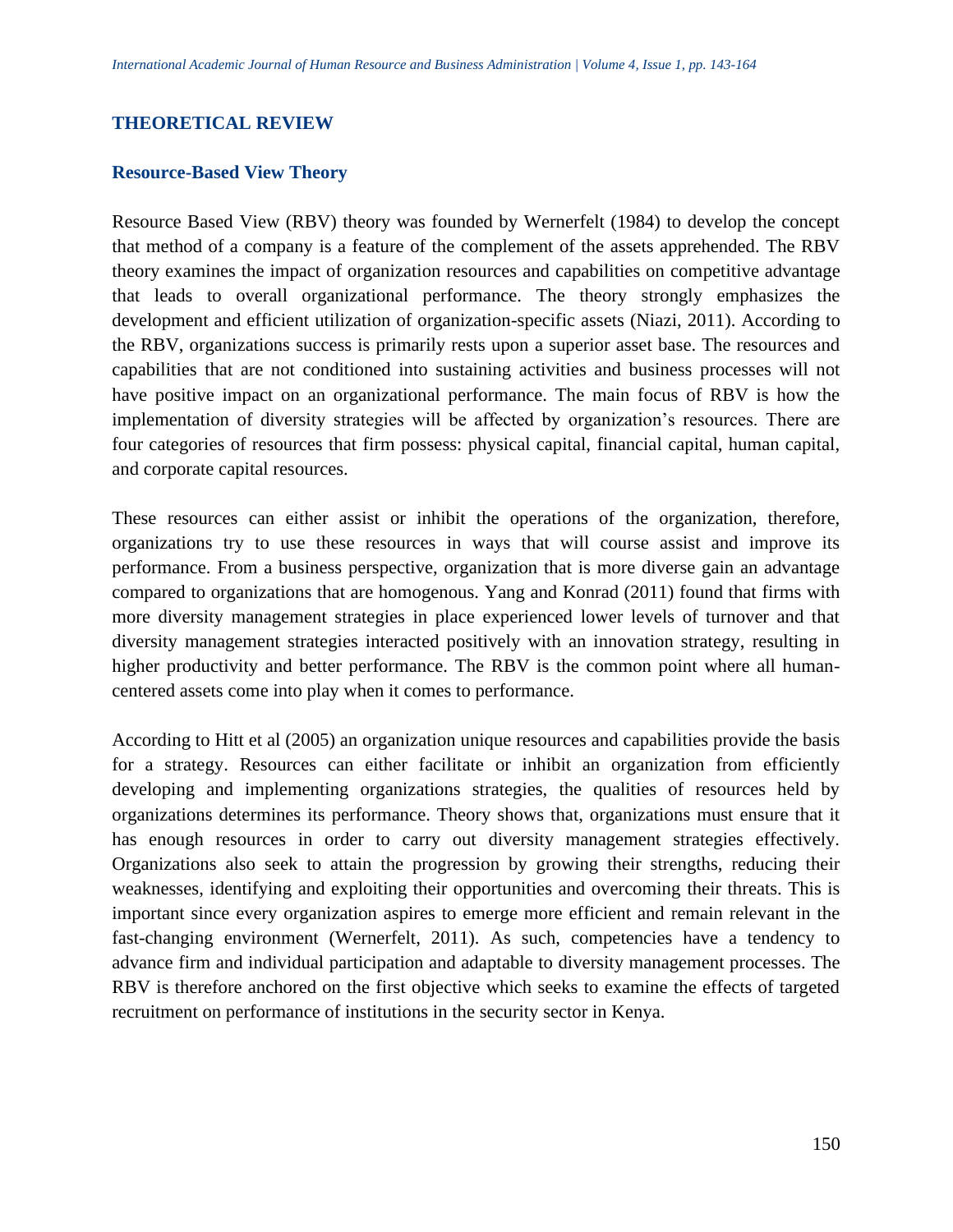## **THEORETICAL REVIEW**

#### **Resource-Based View Theory**

Resource Based View (RBV) theory was founded by Wernerfelt (1984) to develop the concept that method of a company is a feature of the complement of the assets apprehended. The RBV theory examines the impact of organization resources and capabilities on competitive advantage that leads to overall organizational performance. The theory strongly emphasizes the development and efficient utilization of organization-specific assets (Niazi, 2011). According to the RBV, organizations success is primarily rests upon a superior asset base. The resources and capabilities that are not conditioned into sustaining activities and business processes will not have positive impact on an organizational performance. The main focus of RBV is how the implementation of diversity strategies will be affected by organization's resources. There are four categories of resources that firm possess: physical capital, financial capital, human capital, and corporate capital resources.

These resources can either assist or inhibit the operations of the organization, therefore, organizations try to use these resources in ways that will course assist and improve its performance. From a business perspective, organization that is more diverse gain an advantage compared to organizations that are homogenous. Yang and Konrad (2011) found that firms with more diversity management strategies in place experienced lower levels of turnover and that diversity management strategies interacted positively with an innovation strategy, resulting in higher productivity and better performance. The RBV is the common point where all humancentered assets come into play when it comes to performance.

According to Hitt et al (2005) an organization unique resources and capabilities provide the basis for a strategy. Resources can either facilitate or inhibit an organization from efficiently developing and implementing organizations strategies, the qualities of resources held by organizations determines its performance. Theory shows that, organizations must ensure that it has enough resources in order to carry out diversity management strategies effectively. Organizations also seek to attain the progression by growing their strengths, reducing their weaknesses, identifying and exploiting their opportunities and overcoming their threats. This is important since every organization aspires to emerge more efficient and remain relevant in the fast-changing environment (Wernerfelt, 2011). As such, competencies have a tendency to advance firm and individual participation and adaptable to diversity management processes. The RBV is therefore anchored on the first objective which seeks to examine the effects of targeted recruitment on performance of institutions in the security sector in Kenya.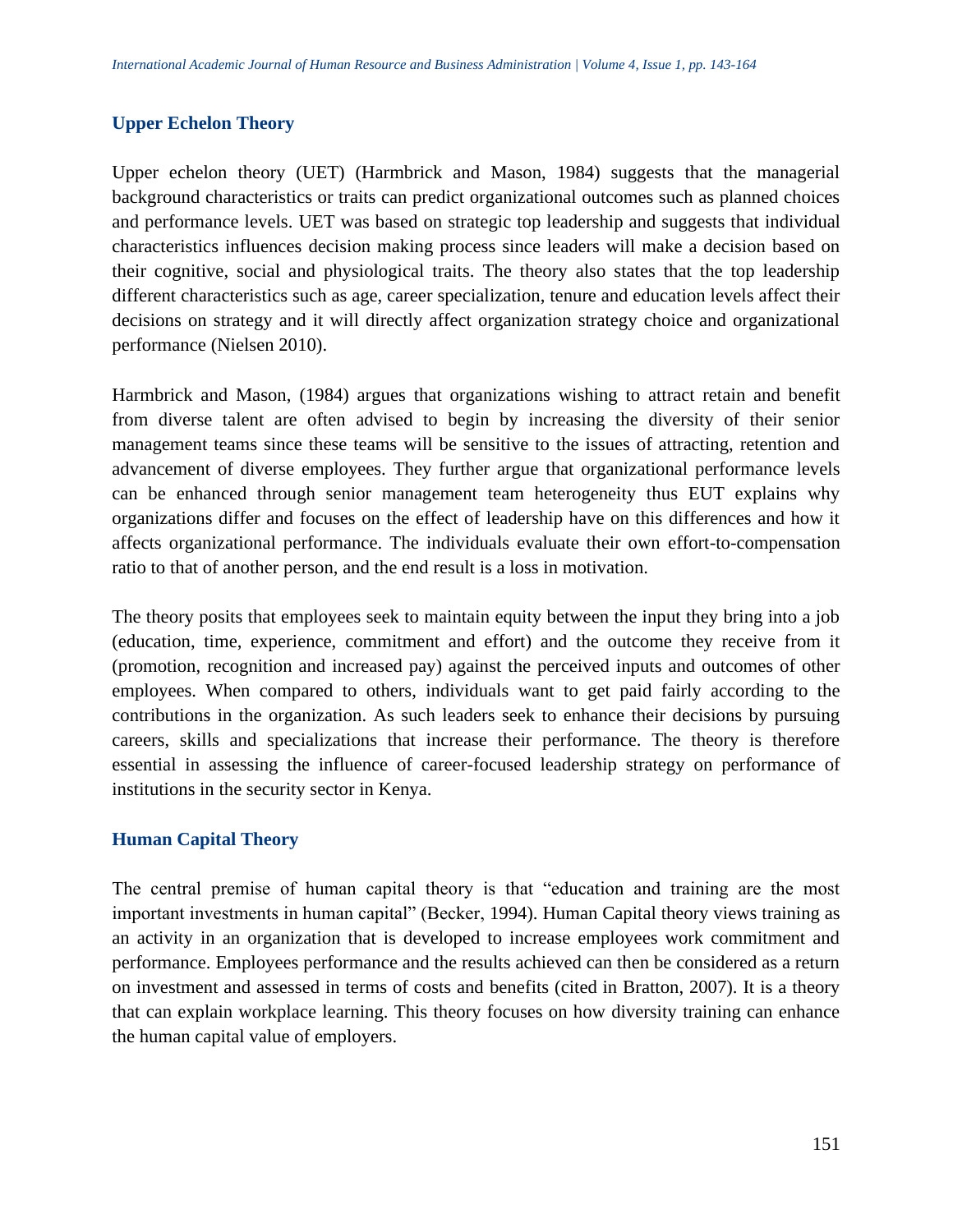# **Upper Echelon Theory**

Upper echelon theory (UET) (Harmbrick and Mason, 1984) suggests that the managerial background characteristics or traits can predict organizational outcomes such as planned choices and performance levels. UET was based on strategic top leadership and suggests that individual characteristics influences decision making process since leaders will make a decision based on their cognitive, social and physiological traits. The theory also states that the top leadership different characteristics such as age, career specialization, tenure and education levels affect their decisions on strategy and it will directly affect organization strategy choice and organizational performance (Nielsen 2010).

Harmbrick and Mason, (1984) argues that organizations wishing to attract retain and benefit from diverse talent are often advised to begin by increasing the diversity of their senior management teams since these teams will be sensitive to the issues of attracting, retention and advancement of diverse employees. They further argue that organizational performance levels can be enhanced through senior management team heterogeneity thus EUT explains why organizations differ and focuses on the effect of leadership have on this differences and how it affects organizational performance. The individuals evaluate their own effort-to-compensation ratio to that of another person, and the end result is a loss in motivation.

The theory posits that employees seek to maintain equity between the input they bring into a job (education, time, experience, commitment and effort) and the outcome they receive from it (promotion, recognition and increased pay) against the perceived inputs and outcomes of other employees. When compared to others, individuals want to get paid fairly according to the contributions in the organization. As such leaders seek to enhance their decisions by pursuing careers, skills and specializations that increase their performance. The theory is therefore essential in assessing the influence of career-focused leadership strategy on performance of institutions in the security sector in Kenya.

# **Human Capital Theory**

The central premise of human capital theory is that "education and training are the most important investments in human capital" (Becker, 1994). Human Capital theory views training as an activity in an organization that is developed to increase employees work commitment and performance. Employees performance and the results achieved can then be considered as a return on investment and assessed in terms of costs and benefits (cited in Bratton, 2007). It is a theory that can explain workplace learning. This theory focuses on how diversity training can enhance the human capital value of employers.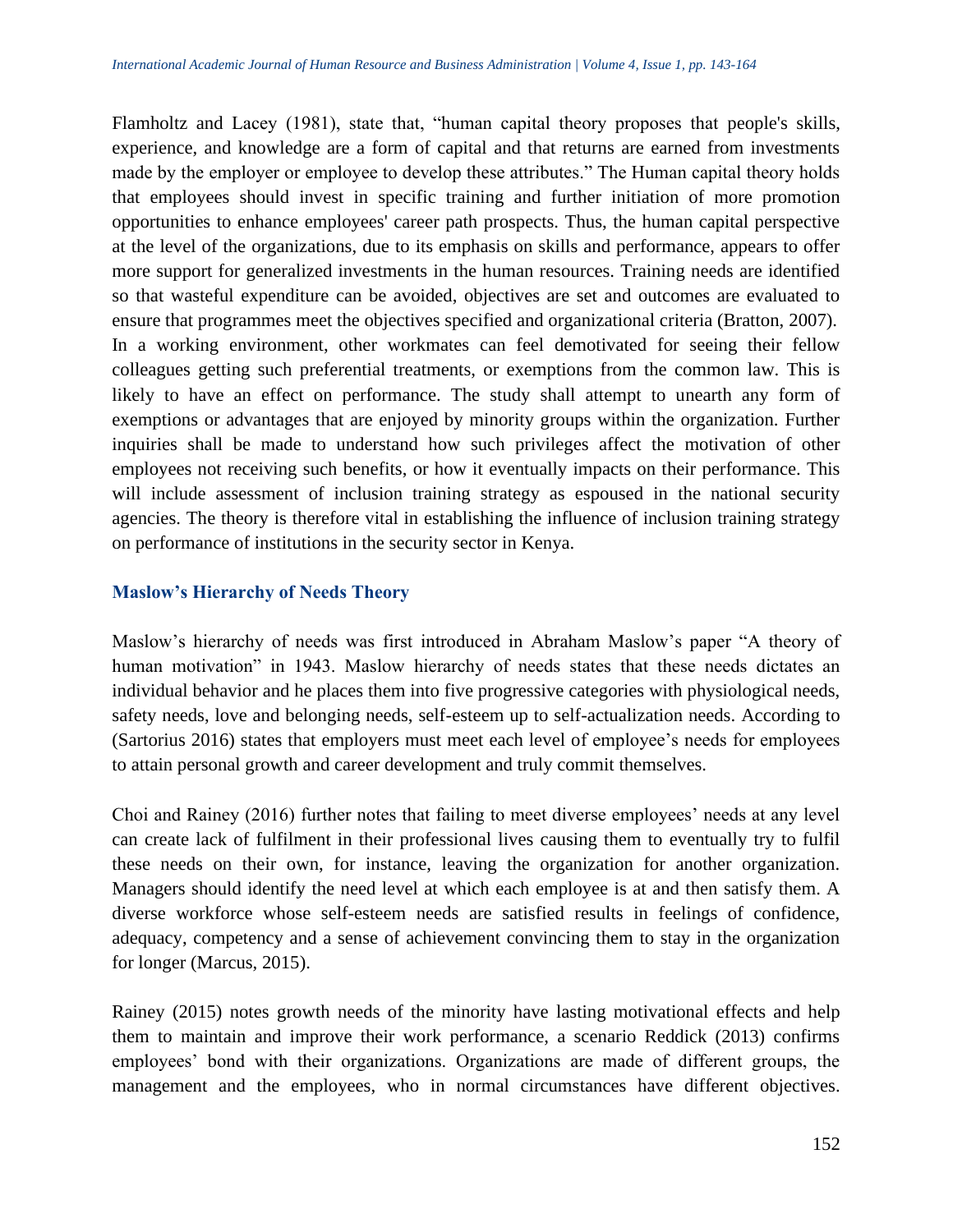Flamholtz and Lacey (1981), state that, "human capital theory proposes that people's skills, experience, and knowledge are a form of capital and that returns are earned from investments made by the employer or employee to develop these attributes." The Human capital theory holds that employees should invest in specific training and further initiation of more promotion opportunities to enhance employees' career path prospects. Thus, the human capital perspective at the level of the organizations, due to its emphasis on skills and performance, appears to offer more support for generalized investments in the human resources. Training needs are identified so that wasteful expenditure can be avoided, objectives are set and outcomes are evaluated to ensure that programmes meet the objectives specified and organizational criteria (Bratton, 2007). In a working environment, other workmates can feel demotivated for seeing their fellow colleagues getting such preferential treatments, or exemptions from the common law. This is likely to have an effect on performance. The study shall attempt to unearth any form of exemptions or advantages that are enjoyed by minority groups within the organization. Further inquiries shall be made to understand how such privileges affect the motivation of other employees not receiving such benefits, or how it eventually impacts on their performance. This will include assessment of inclusion training strategy as espoused in the national security agencies. The theory is therefore vital in establishing the influence of inclusion training strategy on performance of institutions in the security sector in Kenya.

## **Maslow's Hierarchy of Needs Theory**

Maslow's hierarchy of needs was first introduced in Abraham Maslow's paper "A theory of human motivation" in 1943. Maslow hierarchy of needs states that these needs dictates an individual behavior and he places them into five progressive categories with physiological needs, safety needs, love and belonging needs, self-esteem up to self-actualization needs. According to (Sartorius 2016) states that employers must meet each level of employee's needs for employees to attain personal growth and career development and truly commit themselves.

Choi and Rainey (2016) further notes that failing to meet diverse employees' needs at any level can create lack of fulfilment in their professional lives causing them to eventually try to fulfil these needs on their own, for instance, leaving the organization for another organization. Managers should identify the need level at which each employee is at and then satisfy them. A diverse workforce whose self-esteem needs are satisfied results in feelings of confidence, adequacy, competency and a sense of achievement convincing them to stay in the organization for longer (Marcus, 2015).

Rainey (2015) notes growth needs of the minority have lasting motivational effects and help them to maintain and improve their work performance, a scenario Reddick (2013) confirms employees' bond with their organizations. Organizations are made of different groups, the management and the employees, who in normal circumstances have different objectives.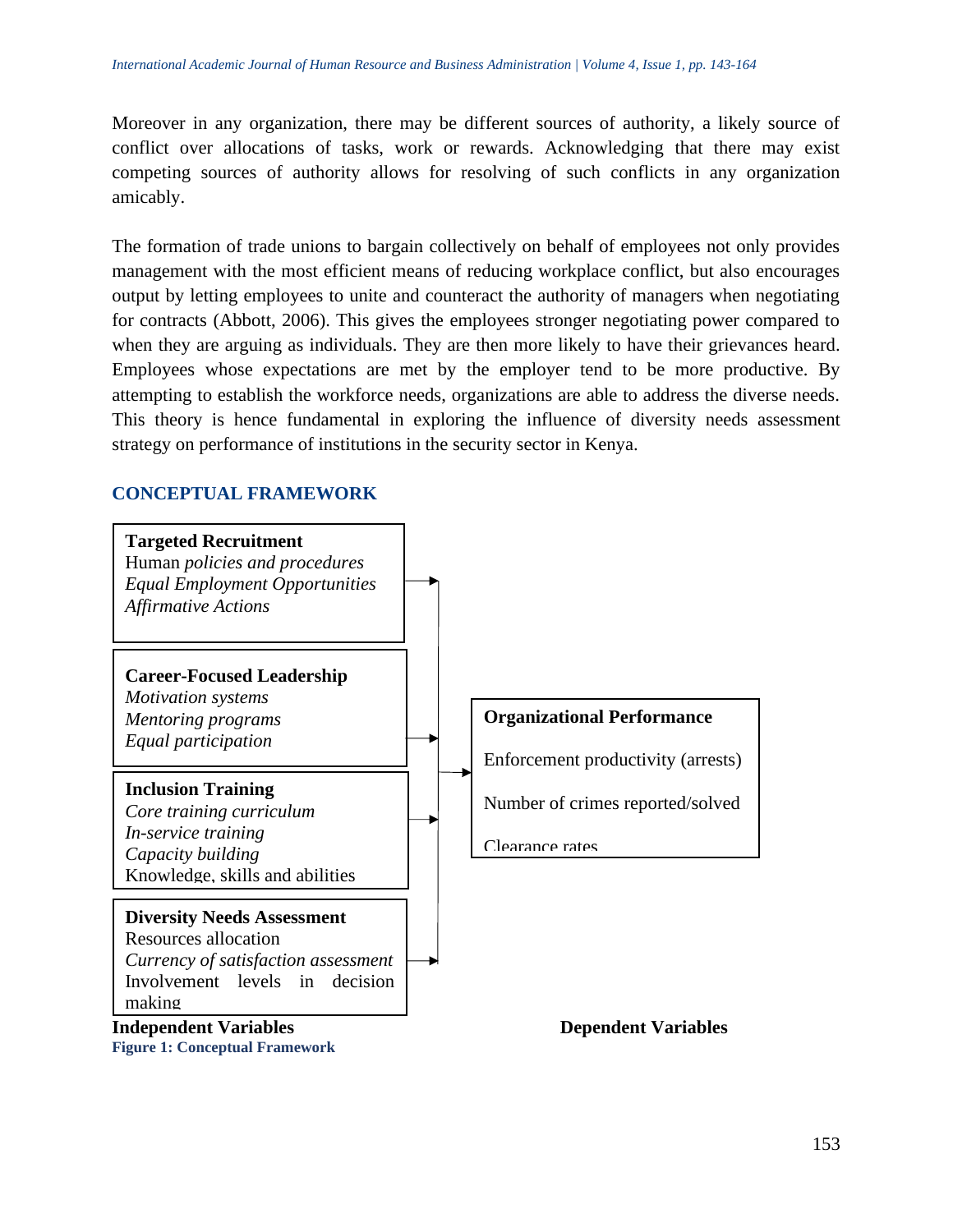Moreover in any organization, there may be different sources of authority, a likely source of conflict over allocations of tasks, work or rewards. Acknowledging that there may exist competing sources of authority allows for resolving of such conflicts in any organization amicably.

The formation of trade unions to bargain collectively on behalf of employees not only provides management with the most efficient means of reducing workplace conflict, but also encourages output by letting employees to unite and counteract the authority of managers when negotiating for contracts (Abbott, 2006). This gives the employees stronger negotiating power compared to when they are arguing as individuals. They are then more likely to have their grievances heard. Employees whose expectations are met by the employer tend to be more productive. By attempting to establish the workforce needs, organizations are able to address the diverse needs. This theory is hence fundamental in exploring the influence of diversity needs assessment strategy on performance of institutions in the security sector in Kenya.

#### **CONCEPTUAL FRAMEWORK**

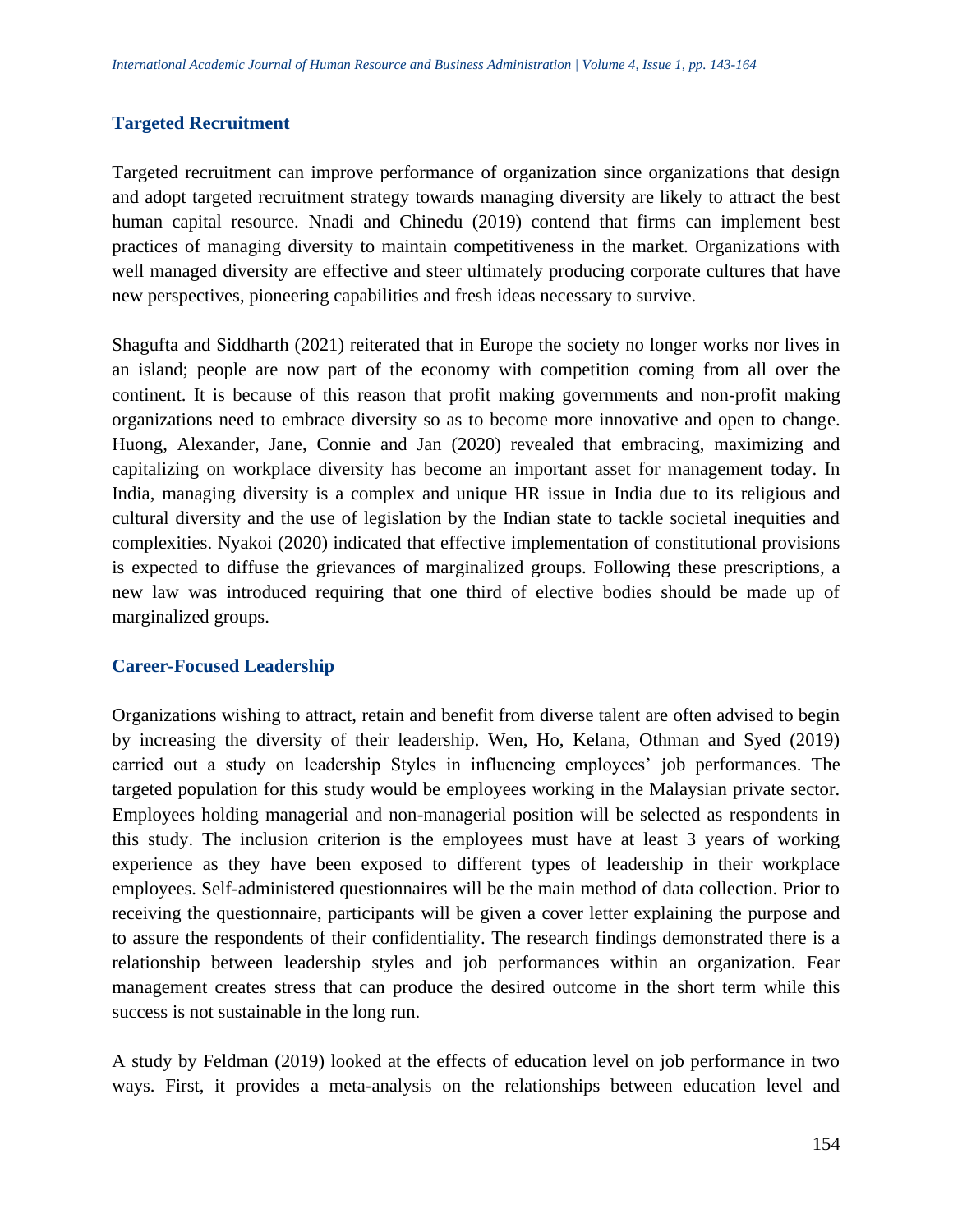## **Targeted Recruitment**

Targeted recruitment can improve performance of organization since organizations that design and adopt targeted recruitment strategy towards managing diversity are likely to attract the best human capital resource. Nnadi and Chinedu (2019) contend that firms can implement best practices of managing diversity to maintain competitiveness in the market. Organizations with well managed diversity are effective and steer ultimately producing corporate cultures that have new perspectives, pioneering capabilities and fresh ideas necessary to survive.

Shagufta and Siddharth (2021) reiterated that in Europe the society no longer works nor lives in an island; people are now part of the economy with competition coming from all over the continent. It is because of this reason that profit making governments and non-profit making organizations need to embrace diversity so as to become more innovative and open to change. Huong, Alexander, Jane, Connie and Jan (2020) revealed that embracing, maximizing and capitalizing on workplace diversity has become an important asset for management today. In India, managing diversity is a complex and unique HR issue in India due to its religious and cultural diversity and the use of legislation by the Indian state to tackle societal inequities and complexities. Nyakoi (2020) indicated that effective implementation of constitutional provisions is expected to diffuse the grievances of marginalized groups. Following these prescriptions, a new law was introduced requiring that one third of elective bodies should be made up of marginalized groups.

## **Career-Focused Leadership**

Organizations wishing to attract, retain and benefit from diverse talent are often advised to begin by increasing the diversity of their leadership. Wen, Ho, Kelana, Othman and Syed (2019) carried out a study on leadership Styles in influencing employees' job performances. The targeted population for this study would be employees working in the Malaysian private sector. Employees holding managerial and non-managerial position will be selected as respondents in this study. The inclusion criterion is the employees must have at least 3 years of working experience as they have been exposed to different types of leadership in their workplace employees. Self-administered questionnaires will be the main method of data collection. Prior to receiving the questionnaire, participants will be given a cover letter explaining the purpose and to assure the respondents of their confidentiality. The research findings demonstrated there is a relationship between leadership styles and job performances within an organization. Fear management creates stress that can produce the desired outcome in the short term while this success is not sustainable in the long run.

A study by Feldman (2019) looked at the effects of education level on job performance in two ways. First, it provides a meta-analysis on the relationships between education level and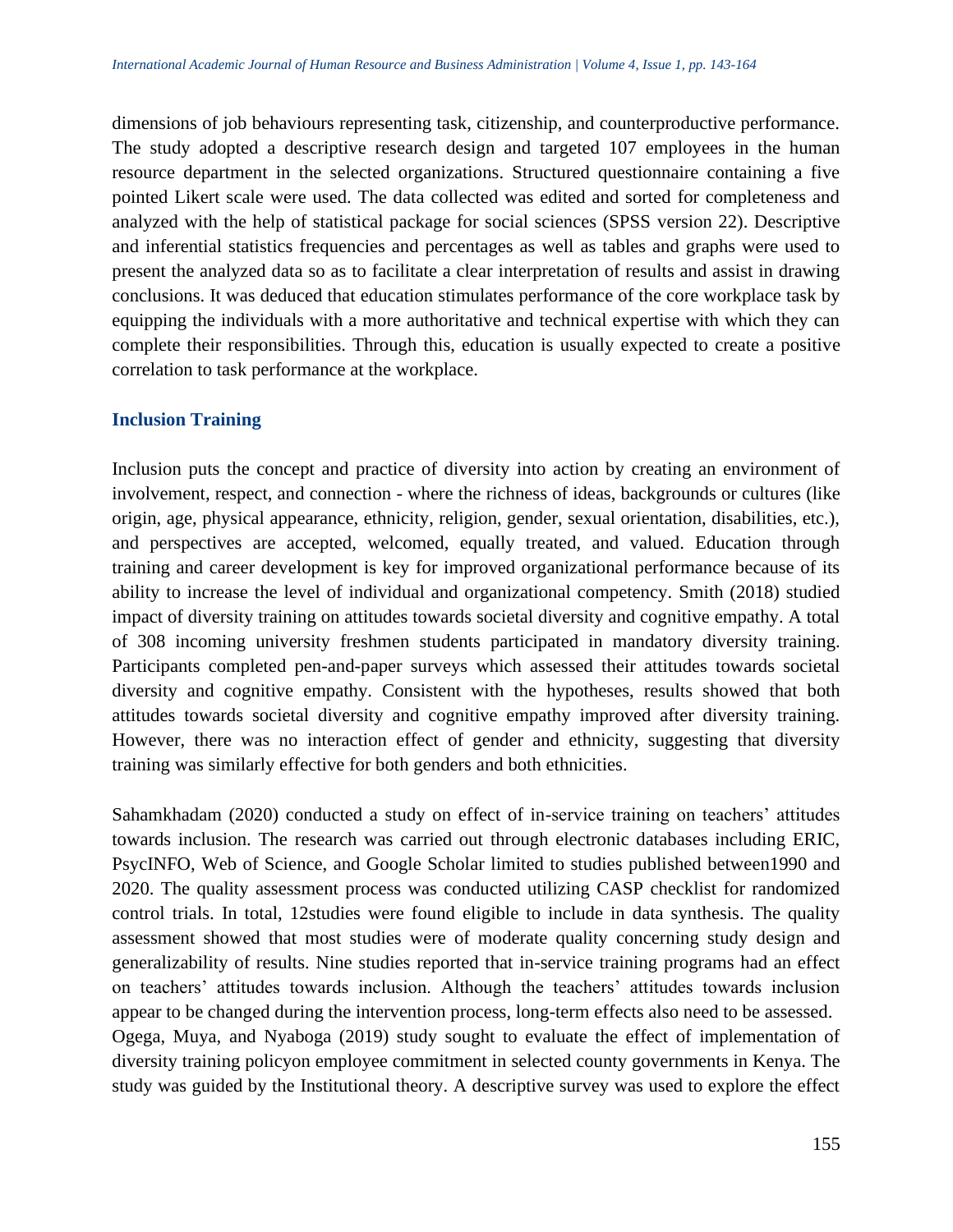dimensions of job behaviours representing task, citizenship, and counterproductive performance. The study adopted a descriptive research design and targeted 107 employees in the human resource department in the selected organizations. Structured questionnaire containing a five pointed Likert scale were used. The data collected was edited and sorted for completeness and analyzed with the help of statistical package for social sciences (SPSS version 22). Descriptive and inferential statistics frequencies and percentages as well as tables and graphs were used to present the analyzed data so as to facilitate a clear interpretation of results and assist in drawing conclusions. It was deduced that education stimulates performance of the core workplace task by equipping the individuals with a more authoritative and technical expertise with which they can complete their responsibilities. Through this, education is usually expected to create a positive correlation to task performance at the workplace.

## **Inclusion Training**

Inclusion puts the concept and practice of diversity into action by creating an environment of involvement, respect, and connection - where the richness of ideas, backgrounds or cultures (like origin, age, physical appearance, ethnicity, religion, gender, sexual orientation, disabilities, etc.), and perspectives are accepted, welcomed, equally treated, and valued. Education through training and career development is key for improved organizational performance because of its ability to increase the level of individual and organizational competency. Smith (2018) studied impact of diversity training on attitudes towards societal diversity and cognitive empathy. A total of 308 incoming university freshmen students participated in mandatory diversity training. Participants completed pen-and-paper surveys which assessed their attitudes towards societal diversity and cognitive empathy. Consistent with the hypotheses, results showed that both attitudes towards societal diversity and cognitive empathy improved after diversity training. However, there was no interaction effect of gender and ethnicity, suggesting that diversity training was similarly effective for both genders and both ethnicities.

Sahamkhadam (2020) conducted a study on effect of in-service training on teachers' attitudes towards inclusion. The research was carried out through electronic databases including ERIC, PsycINFO, Web of Science, and Google Scholar limited to studies published between1990 and 2020. The quality assessment process was conducted utilizing CASP checklist for randomized control trials. In total, 12studies were found eligible to include in data synthesis. The quality assessment showed that most studies were of moderate quality concerning study design and generalizability of results. Nine studies reported that in-service training programs had an effect on teachers' attitudes towards inclusion. Although the teachers' attitudes towards inclusion appear to be changed during the intervention process, long-term effects also need to be assessed. Ogega, Muya, and Nyaboga (2019) study sought to evaluate the effect of implementation of diversity training policyon employee commitment in selected county governments in Kenya. The study was guided by the Institutional theory. A descriptive survey was used to explore the effect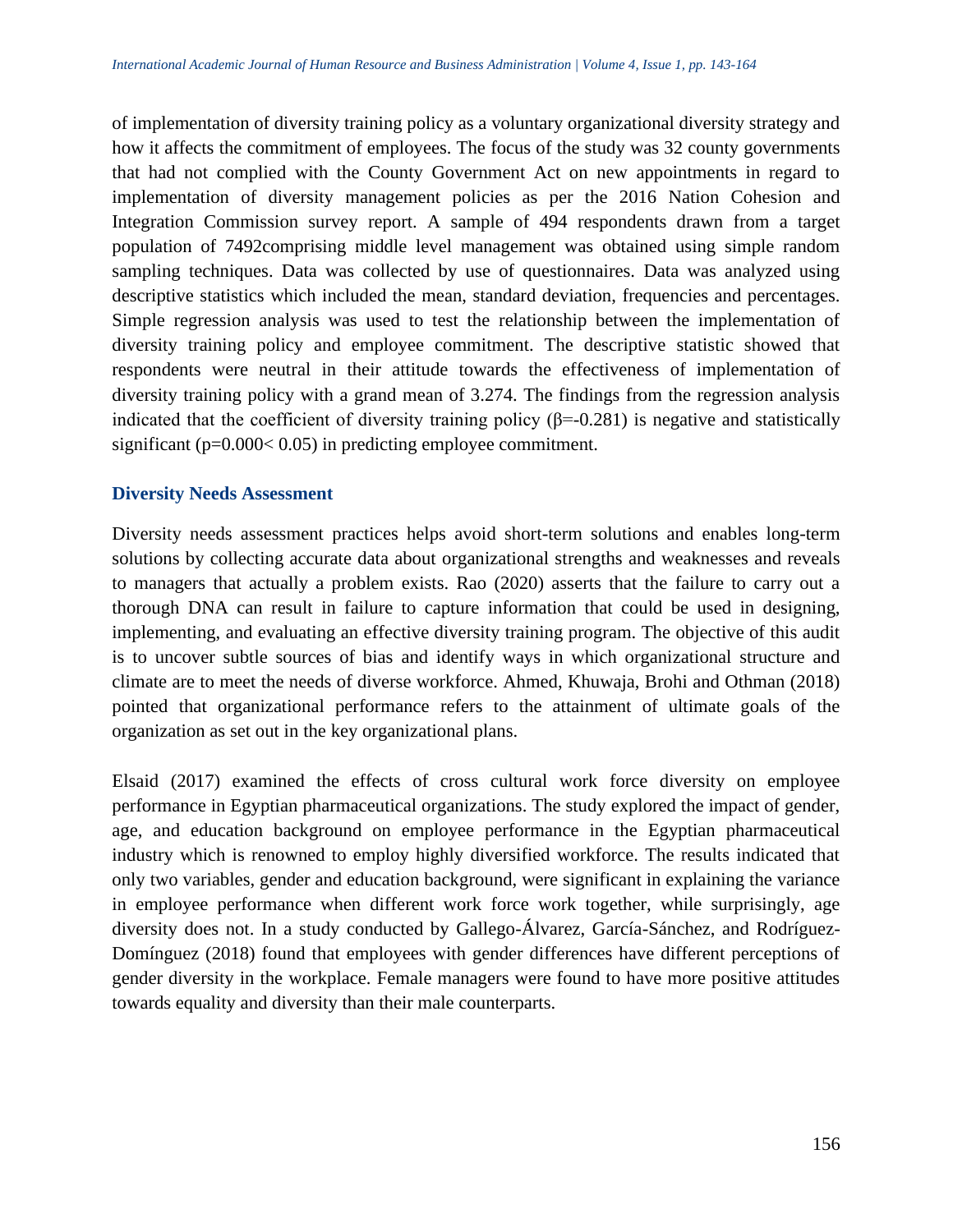of implementation of diversity training policy as a voluntary organizational diversity strategy and how it affects the commitment of employees. The focus of the study was 32 county governments that had not complied with the County Government Act on new appointments in regard to implementation of diversity management policies as per the 2016 Nation Cohesion and Integration Commission survey report. A sample of 494 respondents drawn from a target population of 7492comprising middle level management was obtained using simple random sampling techniques. Data was collected by use of questionnaires. Data was analyzed using descriptive statistics which included the mean, standard deviation, frequencies and percentages. Simple regression analysis was used to test the relationship between the implementation of diversity training policy and employee commitment. The descriptive statistic showed that respondents were neutral in their attitude towards the effectiveness of implementation of diversity training policy with a grand mean of 3.274. The findings from the regression analysis indicated that the coefficient of diversity training policy  $(\beta = -0.281)$  is negative and statistically significant (p=0.000< 0.05) in predicting employee commitment.

#### **Diversity Needs Assessment**

Diversity needs assessment practices helps avoid short-term solutions and enables long-term solutions by collecting accurate data about organizational strengths and weaknesses and reveals to managers that actually a problem exists. Rao (2020) asserts that the failure to carry out a thorough DNA can result in failure to capture information that could be used in designing, implementing, and evaluating an effective diversity training program. The objective of this audit is to uncover subtle sources of bias and identify ways in which organizational structure and climate are to meet the needs of diverse workforce. Ahmed, Khuwaja, Brohi and Othman (2018) pointed that organizational performance refers to the attainment of ultimate goals of the organization as set out in the key organizational plans.

Elsaid (2017) examined the effects of cross cultural work force diversity on employee performance in Egyptian pharmaceutical organizations. The study explored the impact of gender, age, and education background on employee performance in the Egyptian pharmaceutical industry which is renowned to employ highly diversified workforce. The results indicated that only two variables, gender and education background, were significant in explaining the variance in employee performance when different work force work together, while surprisingly, age diversity does not. In a study conducted by Gallego-Álvarez, García-Sánchez, and Rodríguez-Domínguez (2018) found that employees with gender differences have different perceptions of gender diversity in the workplace. Female managers were found to have more positive attitudes towards equality and diversity than their male counterparts.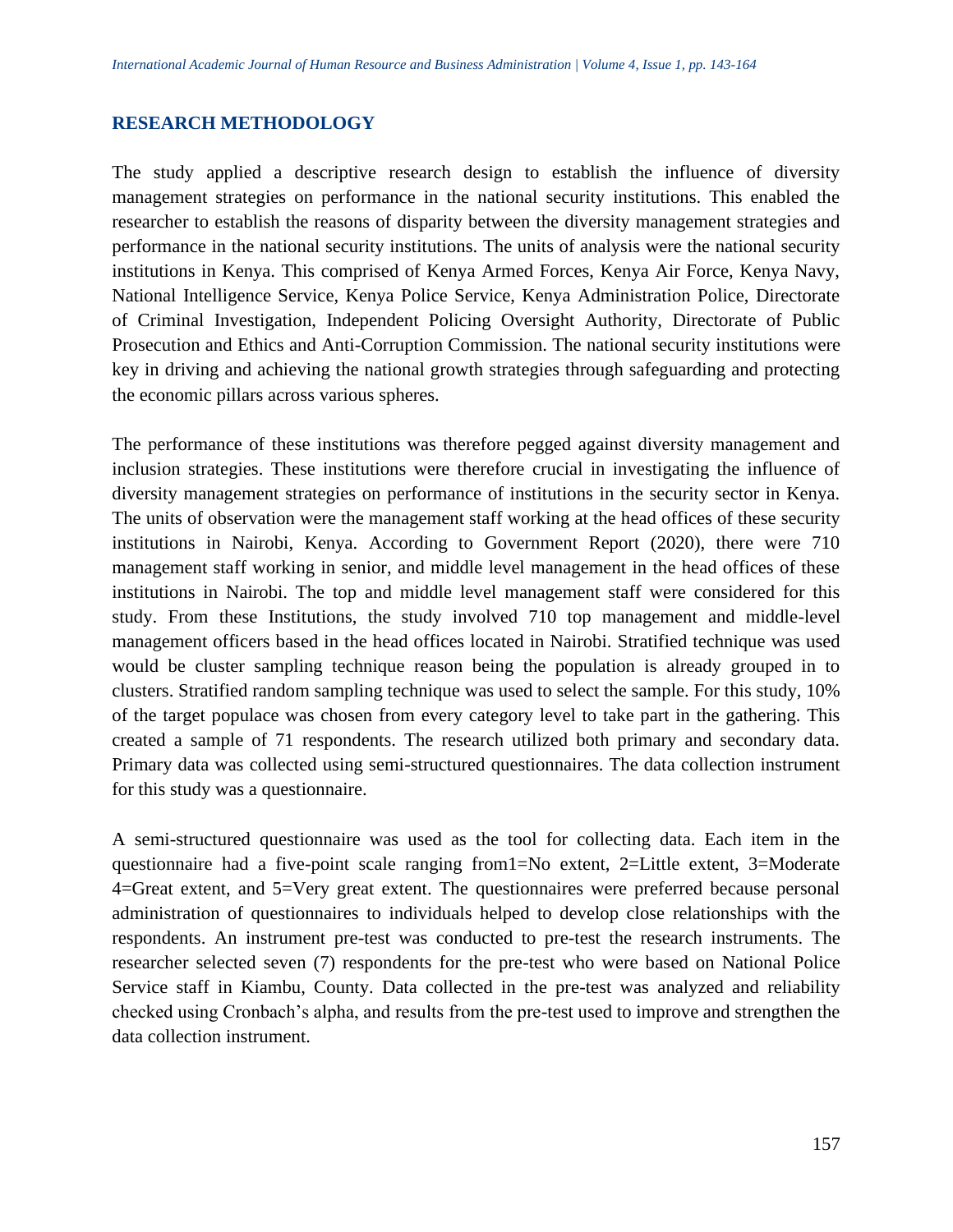#### **RESEARCH METHODOLOGY**

The study applied a descriptive research design to establish the influence of diversity management strategies on performance in the national security institutions. This enabled the researcher to establish the reasons of disparity between the diversity management strategies and performance in the national security institutions. The units of analysis were the national security institutions in Kenya. This comprised of Kenya Armed Forces, Kenya Air Force, Kenya Navy, National Intelligence Service, Kenya Police Service, Kenya Administration Police, Directorate of Criminal Investigation, Independent Policing Oversight Authority, Directorate of Public Prosecution and Ethics and Anti-Corruption Commission. The national security institutions were key in driving and achieving the national growth strategies through safeguarding and protecting the economic pillars across various spheres.

The performance of these institutions was therefore pegged against diversity management and inclusion strategies. These institutions were therefore crucial in investigating the influence of diversity management strategies on performance of institutions in the security sector in Kenya. The units of observation were the management staff working at the head offices of these security institutions in Nairobi, Kenya. According to Government Report (2020), there were 710 management staff working in senior, and middle level management in the head offices of these institutions in Nairobi. The top and middle level management staff were considered for this study. From these Institutions, the study involved 710 top management and middle-level management officers based in the head offices located in Nairobi. Stratified technique was used would be cluster sampling technique reason being the population is already grouped in to clusters. Stratified random sampling technique was used to select the sample. For this study, 10% of the target populace was chosen from every category level to take part in the gathering. This created a sample of 71 respondents. The research utilized both primary and secondary data. Primary data was collected using semi-structured questionnaires. The data collection instrument for this study was a questionnaire.

A semi-structured questionnaire was used as the tool for collecting data. Each item in the questionnaire had a five-point scale ranging from1=No extent, 2=Little extent, 3=Moderate 4=Great extent, and 5=Very great extent. The questionnaires were preferred because personal administration of questionnaires to individuals helped to develop close relationships with the respondents. An instrument pre-test was conducted to pre-test the research instruments. The researcher selected seven (7) respondents for the pre-test who were based on National Police Service staff in Kiambu, County. Data collected in the pre-test was analyzed and reliability checked using Cronbach's alpha, and results from the pre-test used to improve and strengthen the data collection instrument.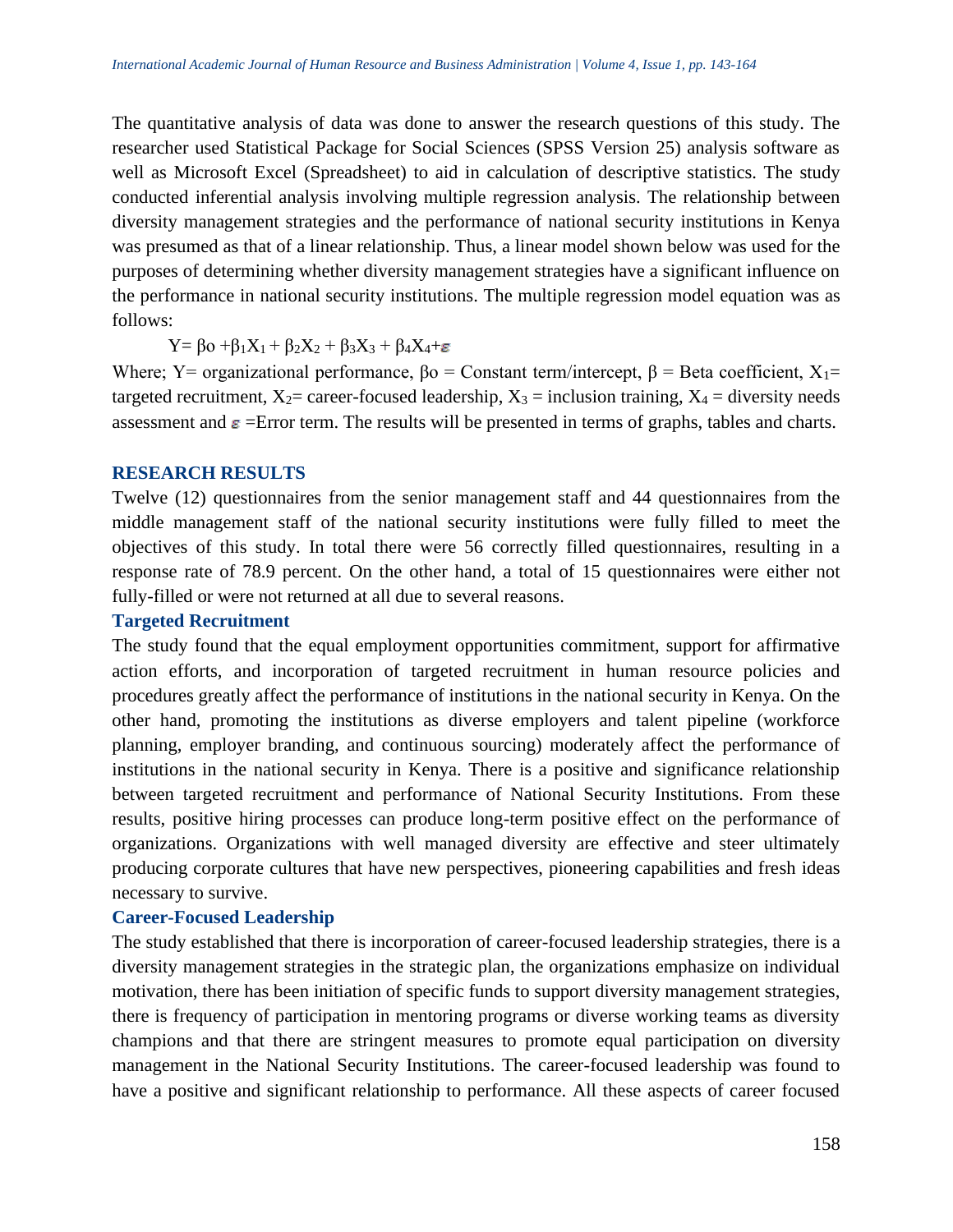The quantitative analysis of data was done to answer the research questions of this study. The researcher used Statistical Package for Social Sciences (SPSS Version 25) analysis software as well as Microsoft Excel (Spreadsheet) to aid in calculation of descriptive statistics. The study conducted inferential analysis involving multiple regression analysis. The relationship between diversity management strategies and the performance of national security institutions in Kenya was presumed as that of a linear relationship. Thus, a linear model shown below was used for the purposes of determining whether diversity management strategies have a significant influence on the performance in national security institutions. The multiple regression model equation was as follows:

 $Y = \beta_0 + \beta_1 X_1 + \beta_2 X_2 + \beta_3 X_3 + \beta_4 X_4 + \varepsilon$ 

Where; Y= organizational performance,  $β$  = Constant term/intercept,  $β$  = Beta coefficient,  $X_1=$ targeted recruitment,  $X_2$ = career-focused leadership,  $X_3$  = inclusion training,  $X_4$  = diversity needs assessment and  $\varepsilon$  =Error term. The results will be presented in terms of graphs, tables and charts.

#### **RESEARCH RESULTS**

Twelve (12) questionnaires from the senior management staff and 44 questionnaires from the middle management staff of the national security institutions were fully filled to meet the objectives of this study. In total there were 56 correctly filled questionnaires, resulting in a response rate of 78.9 percent. On the other hand, a total of 15 questionnaires were either not fully-filled or were not returned at all due to several reasons.

#### **Targeted Recruitment**

The study found that the equal employment opportunities commitment, support for affirmative action efforts, and incorporation of targeted recruitment in human resource policies and procedures greatly affect the performance of institutions in the national security in Kenya. On the other hand, promoting the institutions as diverse employers and talent pipeline (workforce planning, employer branding, and continuous sourcing) moderately affect the performance of institutions in the national security in Kenya. There is a positive and significance relationship between targeted recruitment and performance of National Security Institutions. From these results, positive hiring processes can produce long-term positive effect on the performance of organizations. Organizations with well managed diversity are effective and steer ultimately producing corporate cultures that have new perspectives, pioneering capabilities and fresh ideas necessary to survive.

## **Career-Focused Leadership**

The study established that there is incorporation of career-focused leadership strategies, there is a diversity management strategies in the strategic plan, the organizations emphasize on individual motivation, there has been initiation of specific funds to support diversity management strategies, there is frequency of participation in mentoring programs or diverse working teams as diversity champions and that there are stringent measures to promote equal participation on diversity management in the National Security Institutions. The career-focused leadership was found to have a positive and significant relationship to performance. All these aspects of career focused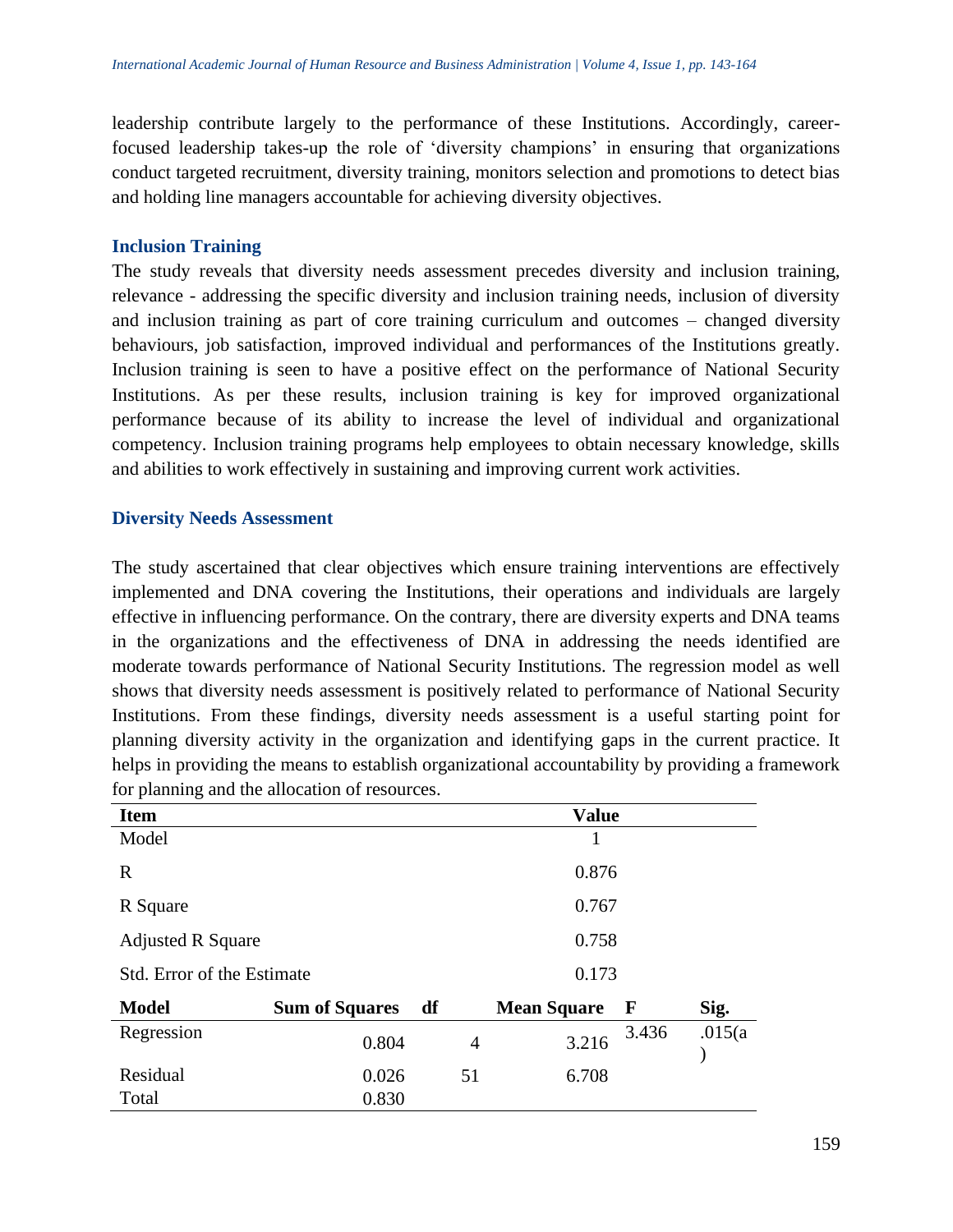leadership contribute largely to the performance of these Institutions. Accordingly, careerfocused leadership takes-up the role of 'diversity champions' in ensuring that organizations conduct targeted recruitment, diversity training, monitors selection and promotions to detect bias and holding line managers accountable for achieving diversity objectives.

#### **Inclusion Training**

The study reveals that diversity needs assessment precedes diversity and inclusion training, relevance - addressing the specific diversity and inclusion training needs, inclusion of diversity and inclusion training as part of core training curriculum and outcomes – changed diversity behaviours, job satisfaction, improved individual and performances of the Institutions greatly. Inclusion training is seen to have a positive effect on the performance of National Security Institutions. As per these results, inclusion training is key for improved organizational performance because of its ability to increase the level of individual and organizational competency. Inclusion training programs help employees to obtain necessary knowledge, skills and abilities to work effectively in sustaining and improving current work activities.

## **Diversity Needs Assessment**

The study ascertained that clear objectives which ensure training interventions are effectively implemented and DNA covering the Institutions, their operations and individuals are largely effective in influencing performance. On the contrary, there are diversity experts and DNA teams in the organizations and the effectiveness of DNA in addressing the needs identified are moderate towards performance of National Security Institutions. The regression model as well shows that diversity needs assessment is positively related to performance of National Security Institutions. From these findings, diversity needs assessment is a useful starting point for planning diversity activity in the organization and identifying gaps in the current practice. It helps in providing the means to establish organizational accountability by providing a framework for planning and the allocation of resources.

| <b>Item</b>                |                       |    |                | <b>Value</b>       |             |         |  |
|----------------------------|-----------------------|----|----------------|--------------------|-------------|---------|--|
| Model                      |                       |    |                | 1                  |             |         |  |
| R                          |                       |    |                | 0.876              |             |         |  |
| R Square                   |                       |    | 0.767          |                    |             |         |  |
| <b>Adjusted R Square</b>   |                       |    |                | 0.758              |             |         |  |
| Std. Error of the Estimate |                       |    |                | 0.173              |             |         |  |
| <b>Model</b>               | <b>Sum of Squares</b> | df |                | <b>Mean Square</b> | $\mathbf F$ | Sig.    |  |
| Regression                 | 0.804                 |    | $\overline{4}$ | 3.216              | 3.436       | .015(a) |  |
| Residual                   | 0.026                 |    | 51             | 6.708              |             |         |  |
| Total                      | 0.830                 |    |                |                    |             |         |  |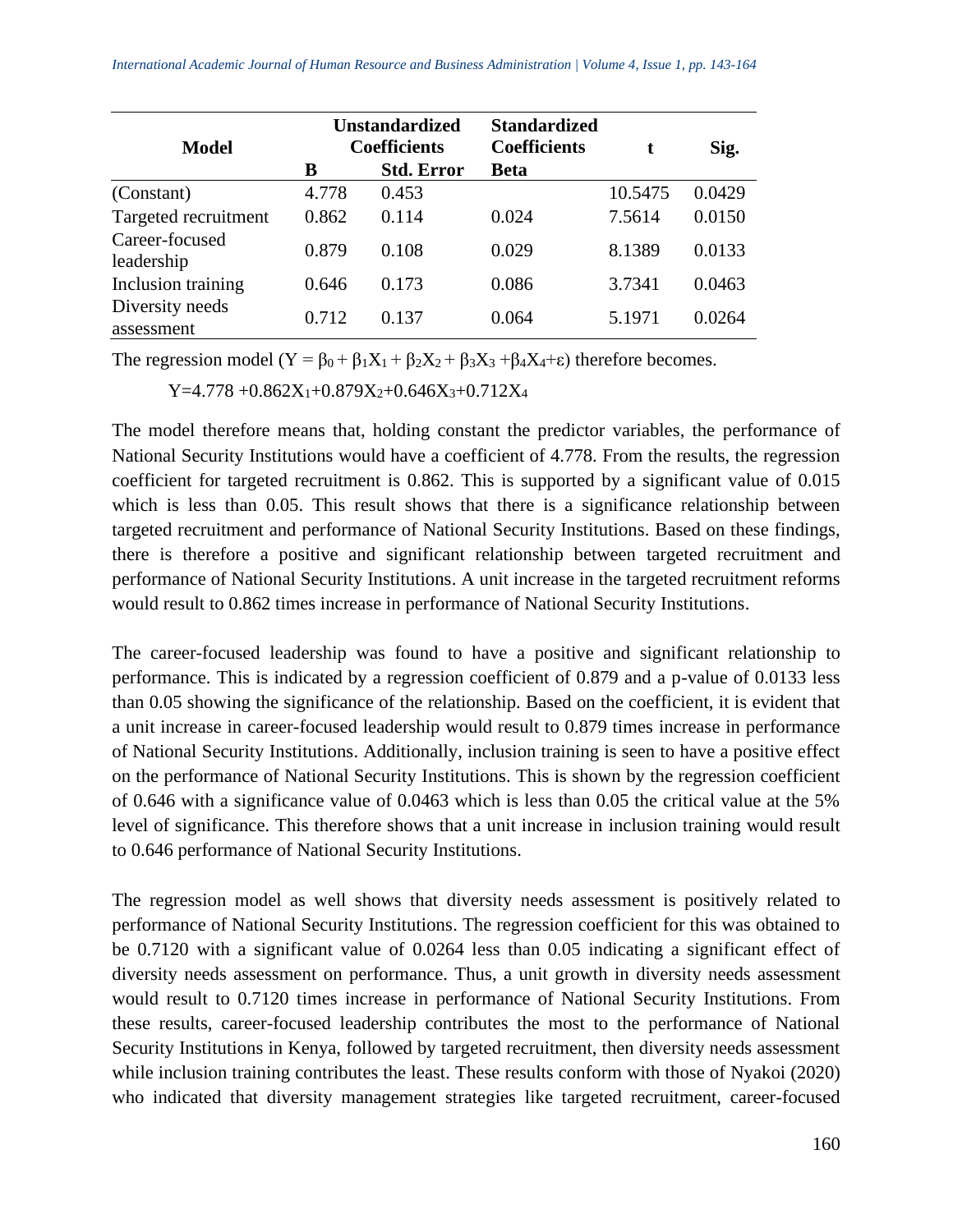| <b>Model</b>                  | <b>Unstandardized</b><br><b>Coefficients</b> |                   | <b>Standardized</b><br><b>Coefficients</b> | t       | Sig.   |
|-------------------------------|----------------------------------------------|-------------------|--------------------------------------------|---------|--------|
|                               | B                                            | <b>Std. Error</b> | <b>Beta</b>                                |         |        |
| (Constant)                    | 4.778                                        | 0.453             |                                            | 10.5475 | 0.0429 |
| Targeted recruitment          | 0.862                                        | 0.114             | 0.024                                      | 7.5614  | 0.0150 |
| Career-focused<br>leadership  | 0.879                                        | 0.108             | 0.029                                      | 8.1389  | 0.0133 |
| Inclusion training            | 0.646                                        | 0.173             | 0.086                                      | 3.7341  | 0.0463 |
| Diversity needs<br>assessment | 0.712                                        | 0.137             | 0.064                                      | 5.1971  | 0.0264 |

The regression model  $(Y = \beta_0 + \beta_1 X_1 + \beta_2 X_2 + \beta_3 X_3 + \beta_4 X_4 + \epsilon)$  therefore becomes.

 $Y=4.778 + 0.862X_1 + 0.879X_2 + 0.646X_3 + 0.712X_4$ 

The model therefore means that, holding constant the predictor variables, the performance of National Security Institutions would have a coefficient of 4.778. From the results, the regression coefficient for targeted recruitment is 0.862. This is supported by a significant value of 0.015 which is less than 0.05. This result shows that there is a significance relationship between targeted recruitment and performance of National Security Institutions. Based on these findings, there is therefore a positive and significant relationship between targeted recruitment and performance of National Security Institutions. A unit increase in the targeted recruitment reforms would result to 0.862 times increase in performance of National Security Institutions.

The career-focused leadership was found to have a positive and significant relationship to performance. This is indicated by a regression coefficient of 0.879 and a p-value of 0.0133 less than 0.05 showing the significance of the relationship. Based on the coefficient, it is evident that a unit increase in career-focused leadership would result to 0.879 times increase in performance of National Security Institutions. Additionally, inclusion training is seen to have a positive effect on the performance of National Security Institutions. This is shown by the regression coefficient of 0.646 with a significance value of 0.0463 which is less than 0.05 the critical value at the 5% level of significance. This therefore shows that a unit increase in inclusion training would result to 0.646 performance of National Security Institutions.

The regression model as well shows that diversity needs assessment is positively related to performance of National Security Institutions. The regression coefficient for this was obtained to be 0.7120 with a significant value of 0.0264 less than 0.05 indicating a significant effect of diversity needs assessment on performance. Thus, a unit growth in diversity needs assessment would result to 0.7120 times increase in performance of National Security Institutions. From these results, career-focused leadership contributes the most to the performance of National Security Institutions in Kenya, followed by targeted recruitment, then diversity needs assessment while inclusion training contributes the least. These results conform with those of Nyakoi (2020) who indicated that diversity management strategies like targeted recruitment, career-focused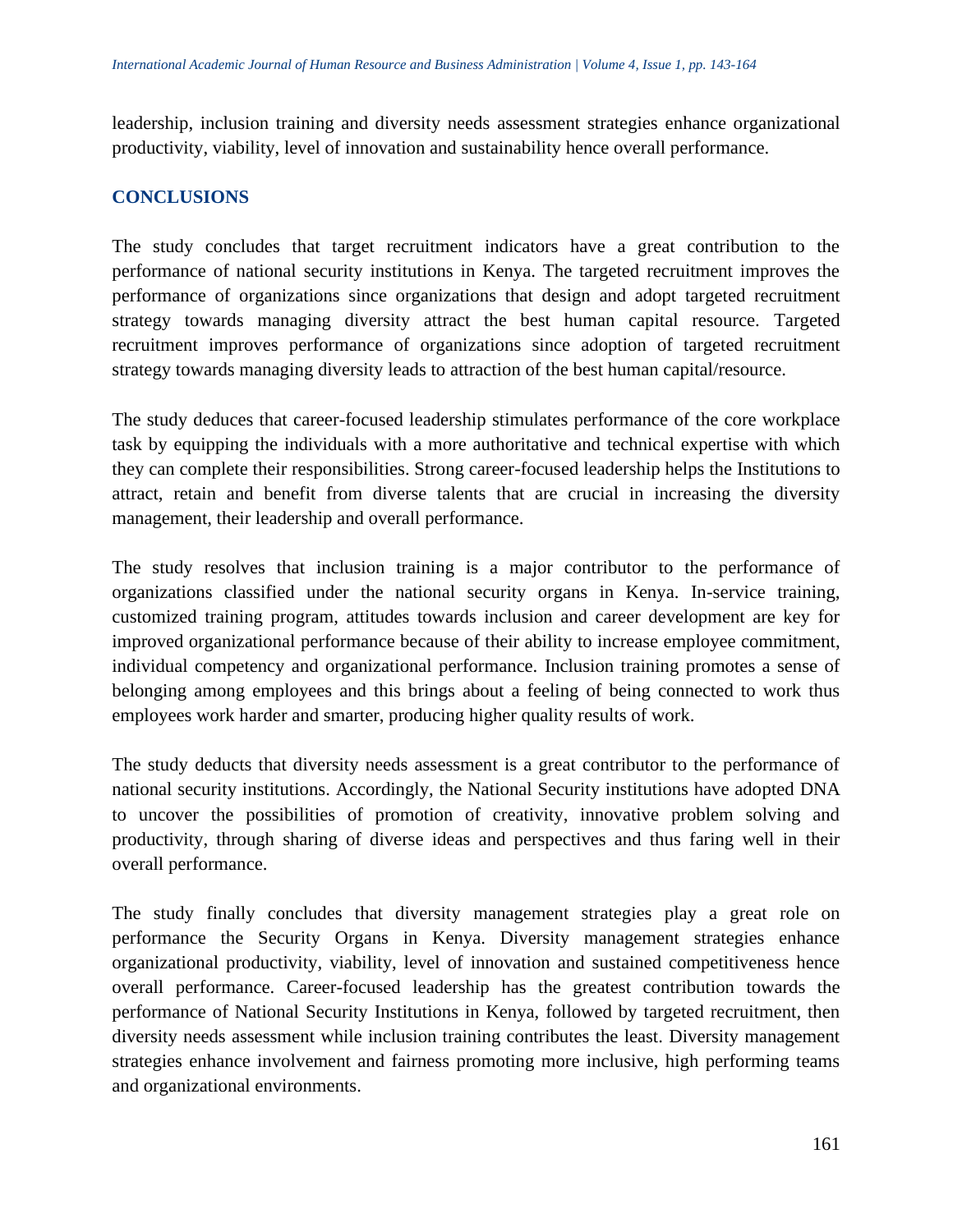leadership, inclusion training and diversity needs assessment strategies enhance organizational productivity, viability, level of innovation and sustainability hence overall performance.

# **CONCLUSIONS**

The study concludes that target recruitment indicators have a great contribution to the performance of national security institutions in Kenya. The targeted recruitment improves the performance of organizations since organizations that design and adopt targeted recruitment strategy towards managing diversity attract the best human capital resource. Targeted recruitment improves performance of organizations since adoption of targeted recruitment strategy towards managing diversity leads to attraction of the best human capital/resource.

The study deduces that career-focused leadership stimulates performance of the core workplace task by equipping the individuals with a more authoritative and technical expertise with which they can complete their responsibilities. Strong career-focused leadership helps the Institutions to attract, retain and benefit from diverse talents that are crucial in increasing the diversity management, their leadership and overall performance.

The study resolves that inclusion training is a major contributor to the performance of organizations classified under the national security organs in Kenya. In-service training, customized training program, attitudes towards inclusion and career development are key for improved organizational performance because of their ability to increase employee commitment, individual competency and organizational performance. Inclusion training promotes a sense of belonging among employees and this brings about a feeling of being connected to work thus employees work harder and smarter, producing higher quality results of work.

The study deducts that diversity needs assessment is a great contributor to the performance of national security institutions. Accordingly, the National Security institutions have adopted DNA to uncover the possibilities of promotion of creativity, innovative problem solving and productivity, through sharing of diverse ideas and perspectives and thus faring well in their overall performance.

The study finally concludes that diversity management strategies play a great role on performance the Security Organs in Kenya. Diversity management strategies enhance organizational productivity, viability, level of innovation and sustained competitiveness hence overall performance. Career-focused leadership has the greatest contribution towards the performance of National Security Institutions in Kenya, followed by targeted recruitment, then diversity needs assessment while inclusion training contributes the least. Diversity management strategies enhance involvement and fairness promoting more inclusive, high performing teams and organizational environments.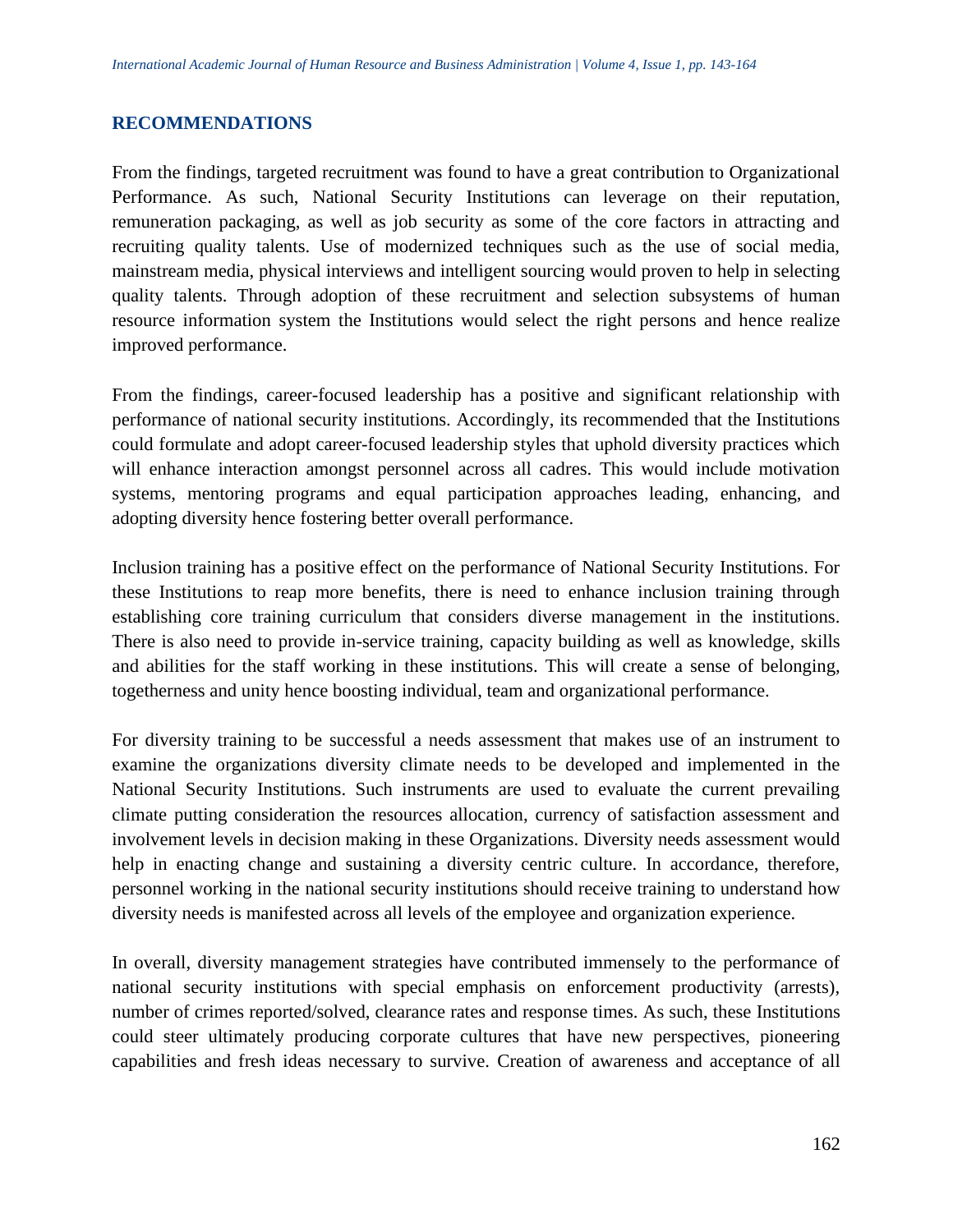## **RECOMMENDATIONS**

From the findings, targeted recruitment was found to have a great contribution to Organizational Performance. As such, National Security Institutions can leverage on their reputation, remuneration packaging, as well as job security as some of the core factors in attracting and recruiting quality talents. Use of modernized techniques such as the use of social media, mainstream media, physical interviews and intelligent sourcing would proven to help in selecting quality talents. Through adoption of these recruitment and selection subsystems of human resource information system the Institutions would select the right persons and hence realize improved performance.

From the findings, career-focused leadership has a positive and significant relationship with performance of national security institutions. Accordingly, its recommended that the Institutions could formulate and adopt career-focused leadership styles that uphold diversity practices which will enhance interaction amongst personnel across all cadres. This would include motivation systems, mentoring programs and equal participation approaches leading, enhancing, and adopting diversity hence fostering better overall performance.

Inclusion training has a positive effect on the performance of National Security Institutions. For these Institutions to reap more benefits, there is need to enhance inclusion training through establishing core training curriculum that considers diverse management in the institutions. There is also need to provide in-service training, capacity building as well as knowledge, skills and abilities for the staff working in these institutions. This will create a sense of belonging, togetherness and unity hence boosting individual, team and organizational performance.

For diversity training to be successful a needs assessment that makes use of an instrument to examine the organizations diversity climate needs to be developed and implemented in the National Security Institutions. Such instruments are used to evaluate the current prevailing climate putting consideration the resources allocation, currency of satisfaction assessment and involvement levels in decision making in these Organizations. Diversity needs assessment would help in enacting change and sustaining a diversity centric culture. In accordance, therefore, personnel working in the national security institutions should receive training to understand how diversity needs is manifested across all levels of the employee and organization experience.

In overall, diversity management strategies have contributed immensely to the performance of national security institutions with special emphasis on enforcement productivity (arrests), number of crimes reported/solved, clearance rates and response times. As such, these Institutions could steer ultimately producing corporate cultures that have new perspectives, pioneering capabilities and fresh ideas necessary to survive. Creation of awareness and acceptance of all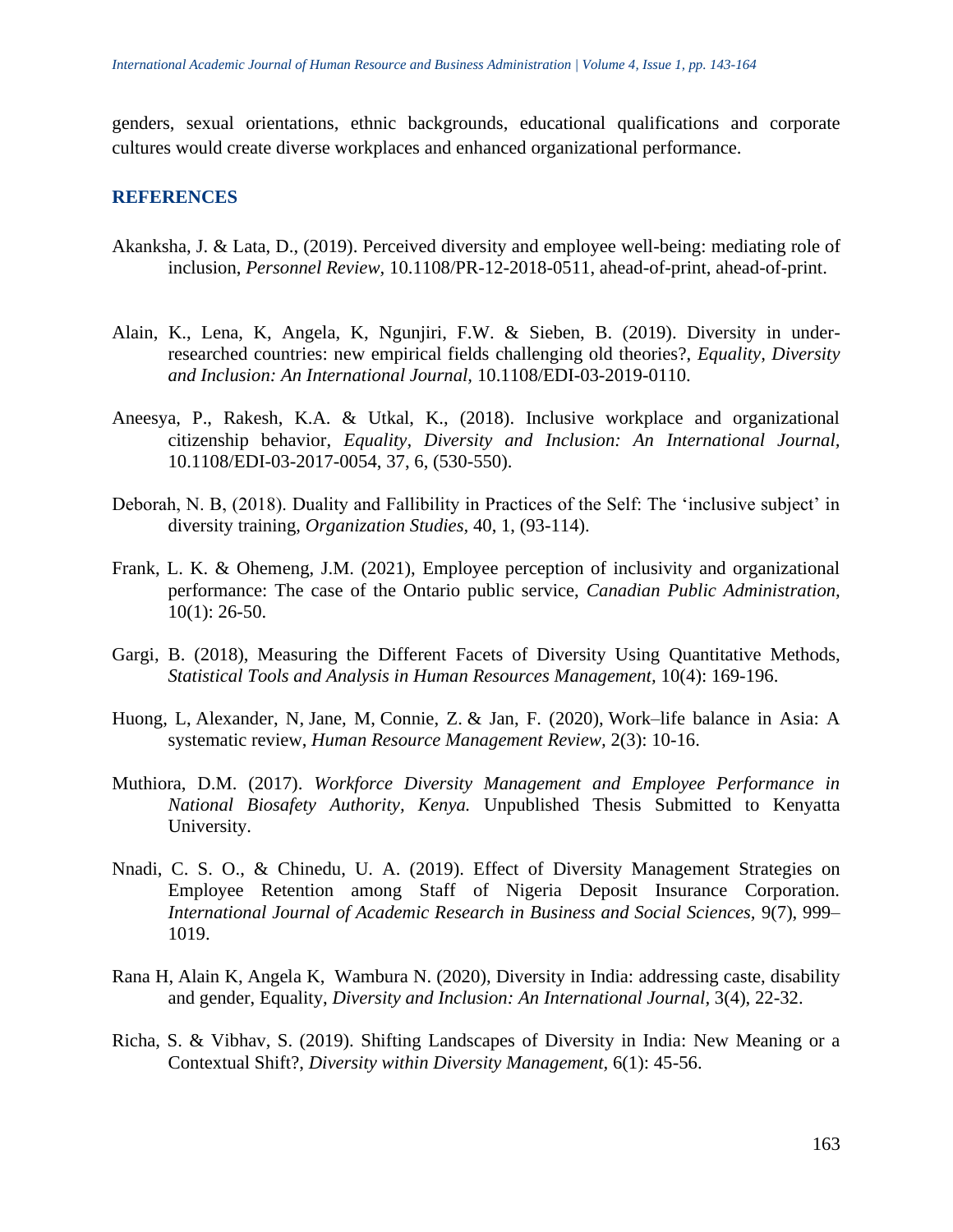genders, sexual orientations, ethnic backgrounds, educational qualifications and corporate cultures would create diverse workplaces and enhanced organizational performance.

## **REFERENCES**

- Akanksha, J. & Lata, D., (2019). Perceived diversity and employee well-being: mediating role of inclusion, *Personnel Review,* 10.1108/PR-12-2018-0511, ahead-of-print, ahead-of-print.
- Alain, K., Lena, K, Angela, K, Ngunjiri, F.W. & Sieben, B. (2019). Diversity in underresearched countries: new empirical fields challenging old theories?, *Equality, Diversity and Inclusion: An International Journal,* 10.1108/EDI-03-2019-0110.
- Aneesya, P., Rakesh, K.A. & Utkal, K., (2018). Inclusive workplace and organizational citizenship behavior, *Equality, Diversity and Inclusion: An International Journal,*  10.1108/EDI-03-2017-0054, 37, 6, (530-550).
- Deborah, N. B, (2018). Duality and Fallibility in Practices of the Self: The 'inclusive subject' in diversity training, *Organization Studies,* 40, 1, (93-114).
- Frank, L. K. & Ohemeng, J.M. (2021), Employee perception of inclusivity and organizational performance: The case of the Ontario public service, *Canadian Public Administration,* 10(1): 26-50.
- Gargi, B. (2018), Measuring the Different Facets of Diversity Using Quantitative Methods, *Statistical Tools and Analysis in Human Resources Management,* 10(4): 169-196.
- Huong, L, Alexander, N, Jane, M, Connie, Z. & Jan, F. (2020), Work–life balance in Asia: A systematic review, *Human Resource Management Review,* 2(3): 10-16.
- Muthiora, D.M. (2017). *Workforce Diversity Management and Employee Performance in National Biosafety Authority, Kenya.* Unpublished Thesis Submitted to Kenyatta University.
- Nnadi, C. S. O., & Chinedu, U. A. (2019). Effect of Diversity Management Strategies on Employee Retention among Staff of Nigeria Deposit Insurance Corporation. *International Journal of Academic Research in Business and Social Sciences,* 9(7), 999– 1019.
- Rana H, Alain K, Angela K, Wambura N. (2020), Diversity in India: addressing caste, disability and gender, Equality, *Diversity and Inclusion: An International Journal,* 3(4), 22-32.
- Richa, S. & Vibhav, S. (2019). Shifting Landscapes of Diversity in India: New Meaning or a Contextual Shift?, *Diversity within Diversity Management,* 6(1): 45-56.